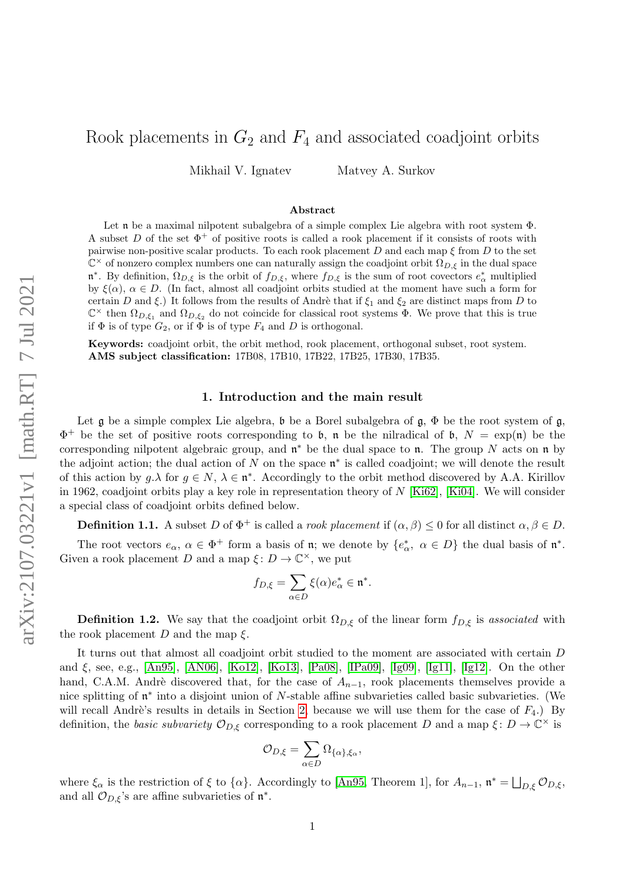# Rook placements in  $G_2$  and  $F_4$  and associated coadjoint orbits

Mikhail V. Ignatev Matvey A. Surkov

#### Abstract

Let n be a maximal nilpotent subalgebra of a simple complex Lie algebra with root system Φ. A subset D of the set  $\Phi^+$  of positive roots is called a rook placement if it consists of roots with pairwise non-positive scalar products. To each rook placement D and each map  $\xi$  from D to the set  $\mathbb{C}^{\times}$  of nonzero complex numbers one can naturally assign the coadjoint orbit  $\Omega_{D,\xi}$  in the dual space  $\mathfrak{n}^*$ . By definition,  $\Omega_{D,\xi}$  is the orbit of  $f_{D,\xi}$ , where  $f_{D,\xi}$  is the sum of root covectors  $e^*_{\alpha}$  multiplied by  $\xi(\alpha)$ ,  $\alpha \in D$ . (In fact, almost all coadjoint orbits studied at the moment have such a form for certain D and ξ.) It follows from the results of Andrè that if  $\xi_1$  and  $\xi_2$  are distinct maps from D to  $\mathbb{C}^{\times}$  then  $\Omega_{D,\xi_1}$  and  $\Omega_{D,\xi_2}$  do not coincide for classical root systems  $\Phi$ . We prove that this is true if  $\Phi$  is of type  $G_2$ , or if  $\Phi$  is of type  $F_4$  and D is orthogonal.

Keywords: coadjoint orbit, the orbit method, rook placement, orthogonal subset, root system. AMS subject classification: 17B08, 17B10, 17B22, 17B25, 17B30, 17B35.

### 1. Introduction and the main result

Let g be a simple complex Lie algebra, b be a Borel subalgebra of  $\mathfrak{g}, \Phi$  be the root system of g,  $\Phi^+$  be the set of positive roots corresponding to b, n be the nilradical of b,  $N = \exp(\mathfrak{n})$  be the corresponding nilpotent algebraic group, and  $\mathfrak{n}^*$  be the dual space to  $\mathfrak{n}$ . The group N acts on  $\mathfrak{n}$  by the adjoint action; the dual action of N on the space  $\mathfrak{n}^*$  is called coadjoint; we will denote the result of this action by  $g.\lambda$  for  $g \in N$ ,  $\lambda \in \mathfrak{n}^*$ . Accordingly to the orbit method discovered by A.A. Kirillov in 1962, coadjoint orbits play a key role in representation theory of  $N$  [\[Ki62\]](#page-15-0), [\[Ki04\]](#page-15-1). We will consider a special class of coadjoint orbits defined below.

<span id="page-0-0"></span>**Definition 1.1.** A subset D of  $\Phi^+$  is called a *rook placement* if  $(\alpha, \beta) \leq 0$  for all distinct  $\alpha, \beta \in D$ .

The root vectors  $e_{\alpha}$ ,  $\alpha \in \Phi^+$  form a basis of **n**; we denote by  $\{e_{\alpha}^*, \alpha \in D\}$  the dual basis of **n**<sup>\*</sup>. Given a rook placement D and a map  $\xi: D \to \mathbb{C}^{\times}$ , we put

$$
f_{D,\xi} = \sum_{\alpha \in D} \xi(\alpha) e_{\alpha}^* \in \mathfrak{n}^*.
$$

<span id="page-0-1"></span>**Definition 1.2.** We say that the coadjoint orbit  $\Omega_{D,\xi}$  of the linear form  $f_{D,\xi}$  is associated with the rook placement D and the map  $\xi$ .

It turns out that almost all coadjoint orbit studied to the moment are associated with certain D and  $\xi$ , see, e.g., [\[An95\]](#page-15-2), [\[AN06\]](#page-15-3), [\[Ko12\]](#page-15-4), [\[Ko13\]](#page-15-5), [\[Pa08\]](#page-15-6), [\[IPa09\]](#page-15-7), [\[Ig09\]](#page-15-8), [\[Ig11\]](#page-15-9), [\[Ig12\]](#page-15-10). On the other hand, C.A.M. Andrè discovered that, for the case of  $A_{n-1}$ , rook placements themselves provide a nice splitting of  $\mathfrak{n}^*$  into a disjoint union of N-stable affine subvarieties called basic subvarieties. (We will recall Andrè's results in details in Section [2,](#page-2-0) because we will use them for the case of  $F_4$ .) By definition, the *basic subvariety*  $\mathcal{O}_{D,\xi}$  corresponding to a rook placement D and a map  $\xi: D \to \mathbb{C}^\times$  is

$$
\mathcal{O}_{D,\xi} = \sum_{\alpha \in D} \Omega_{\{\alpha\},\xi_{\alpha}},
$$

where  $\xi_{\alpha}$  is the restriction of  $\xi$  to  $\{\alpha\}$ . Accordingly to [\[An95,](#page-15-2) Theorem 1], for  $A_{n-1}$ ,  $\mathfrak{n}^* = \bigsqcup_{D,\xi} \mathcal{O}_{D,\xi}$ , and all  $\mathcal{O}_{D,\xi}$ 's are affine subvarieties of  $\mathfrak{n}^*$ .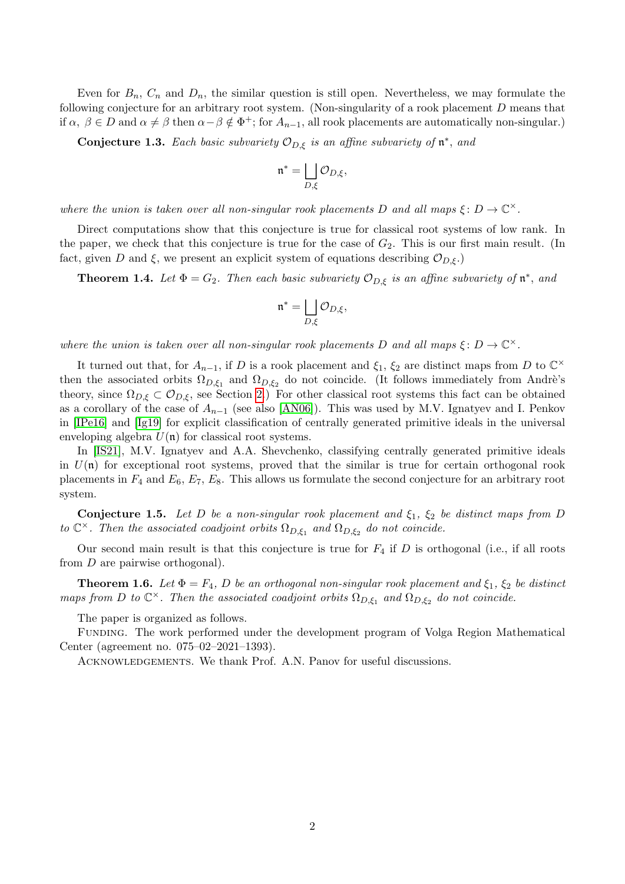Even for  $B_n$ ,  $C_n$  and  $D_n$ , the similar question is still open. Nevertheless, we may formulate the following conjecture for an arbitrary root system. (Non-singularity of a rook placement D means that if  $\alpha, \beta \in D$  and  $\alpha \neq \beta$  then  $\alpha-\beta \notin \Phi^+$ ; for  $A_{n-1}$ , all rook placements are automatically non-singular.)

<span id="page-1-2"></span>**Conjecture 1.3.** Each basic subvariety  $\mathcal{O}_{D,\xi}$  is an affine subvariety of  $\mathfrak{n}^*$ , and

$$
\mathfrak{n}^* = \bigsqcup_{D,\xi} \mathcal{O}_{D,\xi},
$$

where the union is taken over all non-singular rook placements D and all maps  $\xi \colon D \to \mathbb{C}^\times$ .

Direct computations show that this conjecture is true for classical root systems of low rank. In the paper, we check that this conjecture is true for the case of  $G_2$ . This is our first main result. (In fact, given D and  $\xi$ , we present an explicit system of equations describing  $\mathcal{O}_{D,\xi}$ .

<span id="page-1-0"></span>**Theorem 1.4.** Let  $\Phi = G_2$ . Then each basic subvariety  $\mathcal{O}_{D,\xi}$  is an affine subvariety of  $\mathfrak{n}^*$ , and

$$
\mathfrak{n}^* = \bigsqcup_{D,\xi} \mathcal{O}_{D,\xi},
$$

where the union is taken over all non-singular rook placements D and all maps  $\xi \colon D \to \mathbb{C}^\times$ .

It turned out that, for  $A_{n-1}$ , if D is a rook placement and  $\xi_1$ ,  $\xi_2$  are distinct maps from D to  $\mathbb{C}^{\times}$ then the associated orbits  $\Omega_{D,\xi_1}$  and  $\Omega_{D,\xi_2}$  do not coincide. (It follows immediately from Andrè's theory, since  $\Omega_{D,\xi} \subset \mathcal{O}_{D,\xi}$ , see Section [2.](#page-2-0)) For other classical root systems this fact can be obtained as a corollary of the case of  $A_{n-1}$  (see also [\[AN06\]](#page-15-3)). This was used by M.V. Ignatyev and I. Penkov in [\[IPe16\]](#page-15-11) and [\[Ig19\]](#page-15-12) for explicit classification of centrally generated primitive ideals in the universal enveloping algebra  $U(\mathfrak{n})$  for classical root systems.

In [\[IS21\]](#page-15-13), M.V. Ignatyev and A.A. Shevchenko, classifying centrally generated primitive ideals in  $U(\mathfrak{n})$  for exceptional root systems, proved that the similar is true for certain orthogonal rook placements in  $F_4$  and  $E_6$ ,  $E_7$ ,  $E_8$ . This allows us formulate the second conjecture for an arbitrary root system.

<span id="page-1-3"></span>Conjecture 1.5. Let D be a non-singular rook placement and  $\xi_1$ ,  $\xi_2$  be distinct maps from D to  $\mathbb{C}^{\times}$ . Then the associated coadjoint orbits  $\Omega_{D,\xi_1}$  and  $\Omega_{D,\xi_2}$  do not coincide.

Our second main result is that this conjecture is true for  $F_4$  if D is orthogonal (i.e., if all roots from D are pairwise orthogonal).

<span id="page-1-1"></span>**Theorem 1.6.** Let  $\Phi = F_4$ , D be an orthogonal non-singular rook placement and  $\xi_1$ ,  $\xi_2$  be distinct maps from D to  $\mathbb{C}^{\times}$ . Then the associated coadjoint orbits  $\Omega_{D,\xi_1}$  and  $\Omega_{D,\xi_2}$  do not coincide.

The paper is organized as follows.

Funding. The work performed under the development program of Volga Region Mathematical Center (agreement no. 075–02–2021–1393).

ACKNOWLEDGEMENTS. We thank Prof. A.N. Panov for useful discussions.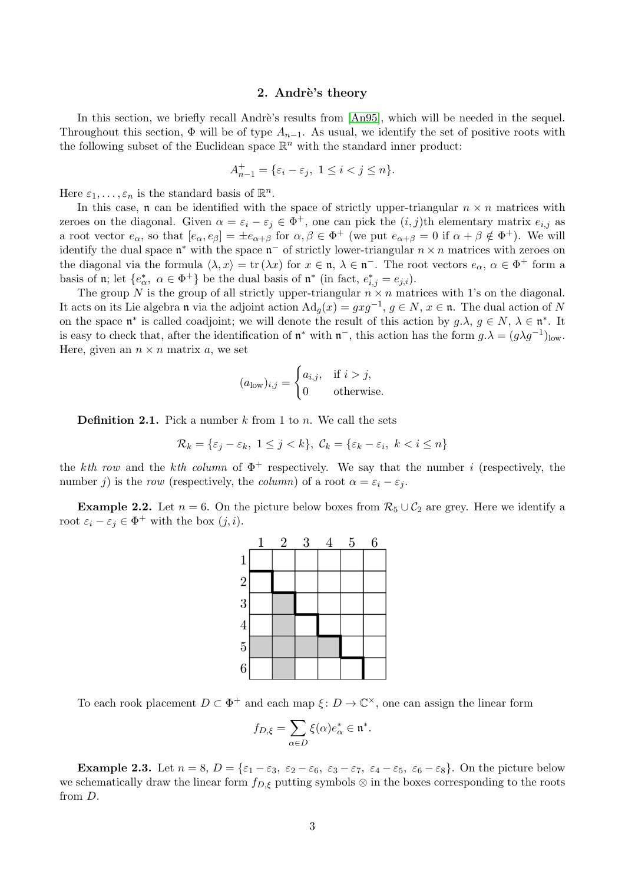#### 2. Andrè's theory

<span id="page-2-0"></span>In this section, we briefly recall Andrè's results from  $[An95]$ , which will be needed in the sequel. Throughout this section,  $\Phi$  will be of type  $A_{n-1}$ . As usual, we identify the set of positive roots with the following subset of the Euclidean space  $\mathbb{R}^n$  with the standard inner product:

$$
A_{n-1}^+=\{\varepsilon_i-\varepsilon_j,\ 1\leq i
$$

Here  $\varepsilon_1, \ldots, \varepsilon_n$  is the standard basis of  $\mathbb{R}^n$ .

In this case,  $\mathfrak n$  can be identified with the space of strictly upper-triangular  $n \times n$  matrices with zeroes on the diagonal. Given  $\alpha = \varepsilon_i - \varepsilon_j \in \Phi^+$ , one can pick the  $(i, j)$ th elementary matrix  $e_{i,j}$  as a root vector  $e_{\alpha}$ , so that  $[e_{\alpha}, e_{\beta}] = \pm e_{\alpha+\beta}$  for  $\alpha, \beta \in \Phi^+$  (we put  $e_{\alpha+\beta} = 0$  if  $\alpha + \beta \notin \Phi^+$ ). We will identify the dual space  $\mathfrak{n}^*$  with the space  $\mathfrak{n}^-$  of strictly lower-triangular  $n \times n$  matrices with zeroes on the diagonal via the formula  $\langle \lambda, x \rangle = \text{tr}(\lambda x)$  for  $x \in \mathfrak{n}, \lambda \in \mathfrak{n}^-$ . The root vectors  $e_\alpha, \alpha \in \Phi^+$  form a basis of  $\mathfrak{n}$ ; let  $\{e^*_\alpha, \alpha \in \Phi^+\}$  be the dual basis of  $\mathfrak{n}^*$  (in fact,  $e^*_{i,j} = e_{j,i}$ ).

The group N is the group of all strictly upper-triangular  $n \times n$  matrices with 1's on the diagonal. It acts on its Lie algebra n via the adjoint action  $\text{Ad}_g(x) = gxg^{-1}, g \in N, x \in \mathfrak{n}$ . The dual action of N on the space  $\mathfrak{n}^*$  is called coadjoint; we will denote the result of this action by  $g.\lambda, g \in N, \lambda \in \mathfrak{n}^*$ . It is easy to check that, after the identification of  $\mathfrak{n}^*$  with  $\mathfrak{n}^-$ , this action has the form  $g.\lambda = (g\lambda g^{-1})_{\text{low}}$ . Here, given an  $n \times n$  matrix a, we set

$$
(a_{\text{low}})_{i,j} = \begin{cases} a_{i,j}, & \text{if } i > j, \\ 0 & \text{otherwise.} \end{cases}
$$

**Definition 2.1.** Pick a number  $k$  from 1 to  $n$ . We call the sets

$$
\mathcal{R}_k = \{\varepsilon_j - \varepsilon_k, \ 1 \le j < k\}, \ \mathcal{C}_k = \{\varepsilon_k - \varepsilon_i, \ k < i \le n\}
$$

the kth row and the kth column of  $\Phi^+$  respectively. We say that the number i (respectively, the number j) is the row (respectively, the column) of a root  $\alpha = \varepsilon_i - \varepsilon_j$ .

**Example 2.2.** Let  $n = 6$ . On the picture below boxes from  $\mathcal{R}_5 \cup \mathcal{C}_2$  are grey. Here we identify a root  $\varepsilon_i - \varepsilon_j \in \Phi^+$  with the box  $(j, i)$ .



To each rook placement  $D \subset \Phi^+$  and each map  $\xi: D \to \mathbb{C}^\times$ , one can assign the linear form

$$
f_{D,\xi} = \sum_{\alpha \in D} \xi(\alpha) e_{\alpha}^* \in \mathfrak{n}^*.
$$

**Example 2.3.** Let  $n = 8$ ,  $D = {\varepsilon_1 - \varepsilon_3, \varepsilon_2 - \varepsilon_6, \varepsilon_3 - \varepsilon_7, \varepsilon_4 - \varepsilon_5, \varepsilon_6 - \varepsilon_8}.$  On the picture below we schematically draw the linear form  $f_{D,\xi}$  putting symbols ⊗ in the boxes corresponding to the roots from D.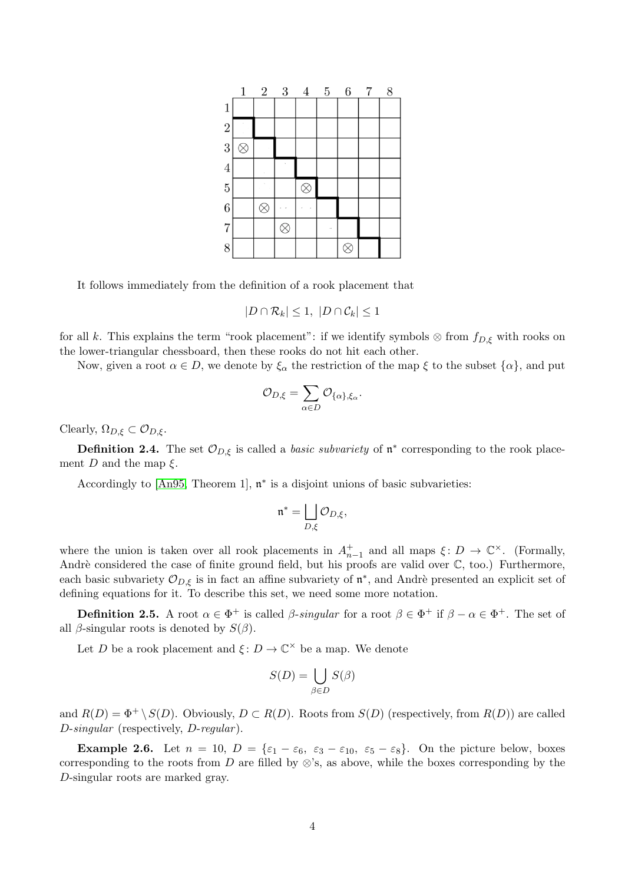|                | 1         | $\overline{2}$ | 3         | $\overline{4}$ | $5\,$ | $6\phantom{.0}$ | $\underline{7}$ | 8 |
|----------------|-----------|----------------|-----------|----------------|-------|-----------------|-----------------|---|
| $\mathbf{1}$   |           |                |           |                |       |                 |                 |   |
| $\overline{2}$ |           |                |           |                |       |                 |                 |   |
| 3              | $\otimes$ |                |           |                |       |                 |                 |   |
| $\overline{4}$ |           |                |           |                |       |                 |                 |   |
| $\overline{5}$ |           |                |           | $\otimes$      |       |                 |                 |   |
| $\overline{6}$ |           | $\otimes$      |           |                |       |                 |                 |   |
| $\overline{7}$ |           |                | $\otimes$ |                |       |                 |                 |   |
| 8              |           |                |           |                |       |                 |                 |   |

It follows immediately from the definition of a rook placement that

$$
|D \cap \mathcal{R}_k| \le 1, \ |D \cap \mathcal{C}_k| \le 1
$$

for all k. This explains the term "rook placement": if we identify symbols  $\otimes$  from  $f_{D,\xi}$  with rooks on the lower-triangular chessboard, then these rooks do not hit each other.

Now, given a root  $\alpha \in D$ , we denote by  $\xi_{\alpha}$  the restriction of the map  $\xi$  to the subset  $\{\alpha\}$ , and put

$$
\mathcal{O}_{D,\xi}=\sum_{\alpha\in D}\mathcal{O}_{\{\alpha\},\xi_{\alpha}}.
$$

Clearly,  $\Omega_{D,\xi} \subset \mathcal{O}_{D,\xi}$ .

**Definition 2.4.** The set  $\mathcal{O}_{D,\xi}$  is called a *basic subvariety* of  $\mathfrak{n}^*$  corresponding to the rook placement D and the map  $\xi$ .

Accordingly to  $[An95, Theorem 1]$  $[An95, Theorem 1]$ ,  $\mathfrak{n}^*$  is a disjoint unions of basic subvarieties:

$$
\mathfrak{n}^* = \bigsqcup_{D,\xi} \mathcal{O}_{D,\xi},
$$

where the union is taken over all rook placements in  $A_{n-1}^+$  and all maps  $\xi: D \to \mathbb{C}^\times$ . (Formally, Andrè considered the case of finite ground field, but his proofs are valid over  $\mathbb{C}$ , too.) Furthermore, each basic subvariety  $\mathcal{O}_{D,\xi}$  is in fact an affine subvariety of  $\mathfrak{n}^*$ , and Andrè presented an explicit set of defining equations for it. To describe this set, we need some more notation.

**Definition 2.5.** A root  $\alpha \in \Phi^+$  is called  $\beta$ -singular for a root  $\beta \in \Phi^+$  if  $\beta - \alpha \in \Phi^+$ . The set of all  $\beta$ -singular roots is denoted by  $S(\beta)$ .

Let D be a rook placement and  $\xi: D \to \mathbb{C}^\times$  be a map. We denote

$$
S(D) = \bigcup_{\beta \in D} S(\beta)
$$

and  $R(D) = \Phi^+ \setminus S(D)$ . Obviously,  $D \subset R(D)$ . Roots from  $S(D)$  (respectively, from  $R(D)$ ) are called D-singular (respectively, D-regular).

**Example 2.6.** Let  $n = 10$ ,  $D = {\varepsilon_1 - \varepsilon_6, \varepsilon_3 - \varepsilon_{10}, \varepsilon_5 - \varepsilon_8}.$  On the picture below, boxes corresponding to the roots from D are filled by  $\otimes$ 's, as above, while the boxes corresponding by the D-singular roots are marked gray.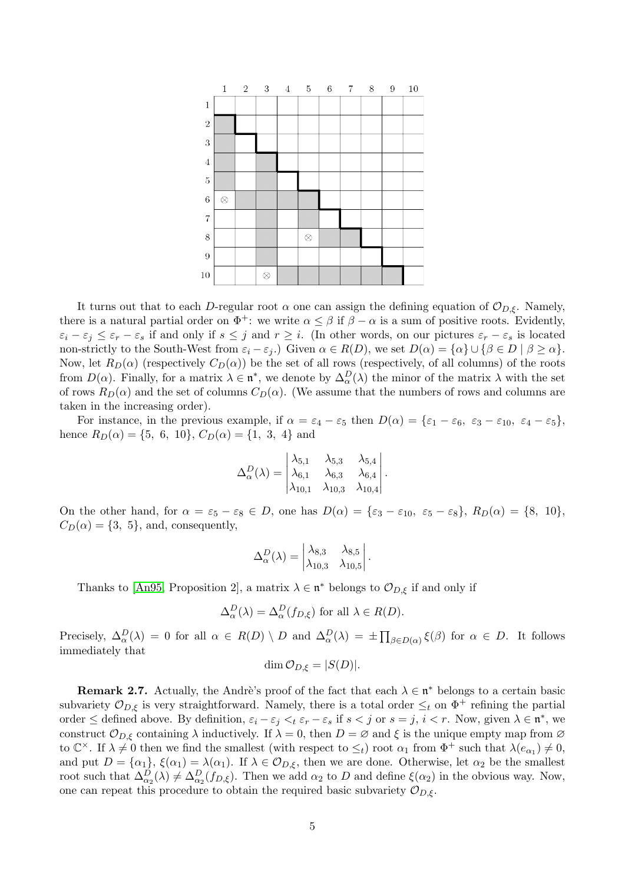

It turns out that to each D-regular root  $\alpha$  one can assign the defining equation of  $\mathcal{O}_{D,\xi}$ . Namely, there is a natural partial order on  $\Phi^+$ : we write  $\alpha \leq \beta$  if  $\beta - \alpha$  is a sum of positive roots. Evidently,  $\varepsilon_i - \varepsilon_j \leq \varepsilon_r - \varepsilon_s$  if and only if  $s \leq j$  and  $r \geq i$ . (In other words, on our pictures  $\varepsilon_r - \varepsilon_s$  is located non-strictly to the South-West from  $\varepsilon_i - \varepsilon_j$ .) Given  $\alpha \in R(D)$ , we set  $D(\alpha) = {\alpha} \cup {\beta \in D \mid \beta \geq \alpha}$ . Now, let  $R_D(\alpha)$  (respectively  $C_D(\alpha)$ ) be the set of all rows (respectively, of all columns) of the roots from  $D(\alpha)$ . Finally, for a matrix  $\lambda \in \mathfrak{n}^*$ , we denote by  $\Delta_{\alpha}^D(\lambda)$  the minor of the matrix  $\lambda$  with the set of rows  $R_D(\alpha)$  and the set of columns  $C_D(\alpha)$ . (We assume that the numbers of rows and columns are taken in the increasing order).

For instance, in the previous example, if  $\alpha = \varepsilon_4 - \varepsilon_5$  then  $D(\alpha) = {\varepsilon_1 - \varepsilon_6, \varepsilon_3 - \varepsilon_{10}, \varepsilon_4 - \varepsilon_5},$ hence  $R_D(\alpha) = \{5, 6, 10\}, C_D(\alpha) = \{1, 3, 4\}$  and

$$
\Delta_{\alpha}^{D}(\lambda) = \begin{vmatrix}\n\lambda_{5,1} & \lambda_{5,3} & \lambda_{5,4} \\
\lambda_{6,1} & \lambda_{6,3} & \lambda_{6,4} \\
\lambda_{10,1} & \lambda_{10,3} & \lambda_{10,4}\n\end{vmatrix}.
$$

On the other hand, for  $\alpha = \varepsilon_5 - \varepsilon_8 \in D$ , one has  $D(\alpha) = {\varepsilon_3 - \varepsilon_{10}, \varepsilon_5 - \varepsilon_8}, R_D(\alpha) = {8, 10},$  $C_D(\alpha) = \{3, 5\}$ , and, consequently,

$$
\Delta_{\alpha}^D(\lambda) = \begin{vmatrix} \lambda_{8,3} & \lambda_{8,5} \\ \lambda_{10,3} & \lambda_{10,5} \end{vmatrix}.
$$

Thanks to [\[An95,](#page-15-2) Proposition 2], a matrix  $\lambda \in \mathfrak{n}^*$  belongs to  $\mathcal{O}_{D,\xi}$  if and only if

$$
\Delta^D_{\alpha}(\lambda) = \Delta^D_{\alpha}(f_{D,\xi}) \text{ for all } \lambda \in R(D).
$$

Precisely,  $\Delta_{\alpha}^D(\lambda) = 0$  for all  $\alpha \in R(D) \setminus D$  and  $\Delta_{\alpha}^D(\lambda) = \pm \prod_{\beta \in D(\alpha)} \xi(\beta)$  for  $\alpha \in D$ . It follows immediately that

$$
\dim \mathcal{O}_{D,\xi} = |S(D)|.
$$

<span id="page-4-0"></span>**Remark 2.7.** Actually, the Andre's proof of the fact that each  $\lambda \in \mathfrak{n}^*$  belongs to a certain basic subvariety  $\mathcal{O}_{D,\xi}$  is very straightforward. Namely, there is a total order  $\leq_t$  on  $\Phi^+$  refining the partial order  $\leq$  defined above. By definition,  $\varepsilon_i - \varepsilon_j <_t \varepsilon_r - \varepsilon_s$  if  $s < j$  or  $s = j$ ,  $i < r$ . Now, given  $\lambda \in \mathfrak{n}^*$ , we construct  $\mathcal{O}_{D,\xi}$  containing  $\lambda$  inductively. If  $\lambda = 0$ , then  $D = \emptyset$  and  $\xi$  is the unique empty map from  $\emptyset$ to  $\mathbb{C}^{\times}$ . If  $\lambda \neq 0$  then we find the smallest (with respect to  $\leq_t$ ) root  $\alpha_1$  from  $\Phi^+$  such that  $\lambda(e_{\alpha_1}) \neq 0$ , and put  $D = {\alpha_1}$ ,  $\xi(\alpha_1) = \lambda(\alpha_1)$ . If  $\lambda \in \mathcal{O}_{D,\xi}$ , then we are done. Otherwise, let  $\alpha_2$  be the smallest root such that  $\Delta_{\alpha_2}^D(\lambda) \neq \Delta_{\alpha_2}^D(f_{D,\xi})$ . Then we add  $\alpha_2$  to D and define  $\xi(\alpha_2)$  in the obvious way. Now, one can repeat this procedure to obtain the required basic subvariety  $\mathcal{O}_{D,\xi}$ .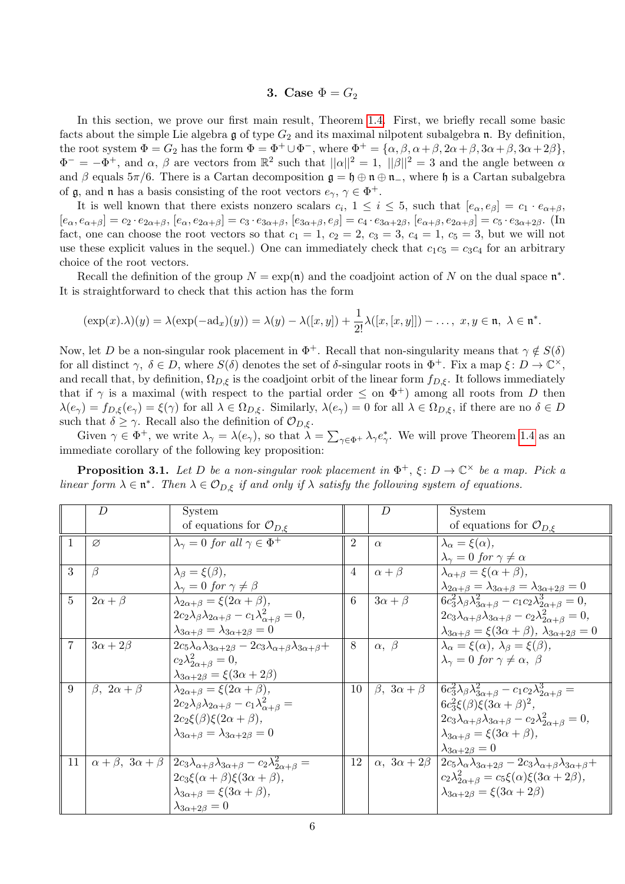# 3. Case  $\Phi = G_2$

In this section, we prove our first main result, Theorem [1.4.](#page-1-0) First, we briefly recall some basic facts about the simple Lie algebra  $\mathfrak g$  of type  $G_2$  and its maximal nilpotent subalgebra  $\mathfrak n$ . By definition, the root system  $\Phi = G_2$  has the form  $\Phi = \Phi^+ \cup \Phi^-$ , where  $\Phi^+ = {\alpha, \beta, \alpha + \beta, 3\alpha + \beta, 3\alpha + 2\beta},$  $\Phi^- = -\Phi^+$ , and  $\alpha$ ,  $\beta$  are vectors from  $\mathbb{R}^2$  such that  $||\alpha||^2 = 1$ ,  $||\beta||^2 = 3$  and the angle between  $\alpha$ and  $\beta$  equals  $5\pi/6$ . There is a Cartan decomposition  $\mathfrak{g} = \mathfrak{h} \oplus \mathfrak{n} \oplus \mathfrak{n}$ , where  $\mathfrak{h}$  is a Cartan subalgebra of  $\mathfrak{g}$ , and  $\mathfrak{n}$  has a basis consisting of the root vectors  $e_{\gamma}, \gamma \in \Phi^+$ .

It is well known that there exists nonzero scalars  $c_i$ ,  $1 \leq i \leq 5$ , such that  $[e_\alpha, e_\beta] = c_1 \cdot e_{\alpha+\beta}$ ,  $[e_{\alpha}, e_{\alpha+\beta}] = c_2 \cdot e_{2\alpha+\beta}, [e_{\alpha}, e_{2\alpha+\beta}] = c_3 \cdot e_{3\alpha+\beta}, [e_{3\alpha+\beta}, e_{\beta}] = c_4 \cdot e_{3\alpha+2\beta}, [e_{\alpha+\beta}, e_{2\alpha+\beta}] = c_5 \cdot e_{3\alpha+2\beta}.$  (In fact, one can choose the root vectors so that  $c_1 = 1$ ,  $c_2 = 2$ ,  $c_3 = 3$ ,  $c_4 = 1$ ,  $c_5 = 3$ , but we will not use these explicit values in the sequel.) One can immediately check that  $c_1c_5 = c_3c_4$  for an arbitrary choice of the root vectors.

Recall the definition of the group  $N = \exp(\mathfrak{n})$  and the coadjoint action of N on the dual space  $\mathfrak{n}^*$ . It is straightforward to check that this action has the form

$$
(\exp(x).\lambda)(y) = \lambda(\exp(-\mathrm{ad}_x)(y)) = \lambda(y) - \lambda([x,y]) + \frac{1}{2!}\lambda([x,[x,y]]) - \dots, \ x, y \in \mathfrak{n}, \ \lambda \in \mathfrak{n}^*.
$$

Now, let D be a non-singular rook placement in  $\Phi^+$ . Recall that non-singularity means that  $\gamma \notin S(\delta)$ for all distinct  $\gamma, \delta \in D$ , where  $S(\delta)$  denotes the set of  $\delta$ -singular roots in  $\Phi^+$ . Fix a map  $\xi \colon D \to \mathbb{C}^\times$ , and recall that, by definition,  $\Omega_{D,\xi}$  is the coadjoint orbit of the linear form  $f_{D,\xi}$ . It follows immediately that if  $\gamma$  is a maximal (with respect to the partial order  $\leq$  on  $\Phi^+$ ) among all roots from D then  $\lambda(e_{\gamma}) = f_{D,\xi}(e_{\gamma}) = \xi(\gamma)$  for all  $\lambda \in \Omega_{D,\xi}$ . Similarly,  $\lambda(e_{\gamma}) = 0$  for all  $\lambda \in \Omega_{D,\xi}$ , if there are no  $\delta \in D$ such that  $\delta \geq \gamma$ . Recall also the definition of  $\mathcal{O}_{D,\xi}$ .

Given  $\gamma \in \Phi^+$ , we write  $\lambda_{\gamma} = \lambda(e_{\gamma})$ , so that  $\lambda = \sum_{\gamma \in \Phi^+} \lambda_{\gamma} e_{\gamma}^*$ . We will prove Theorem [1.4](#page-1-0) as an immediate corollary of the following key proposition:

**Proposition 3.1.** Let D be a non-singular rook placement in  $\Phi^+$ ,  $\xi$ :  $D \to \mathbb{C}^\times$  be a map. Pick a linear form  $\lambda \in \mathfrak{n}^*$ . Then  $\lambda \in \mathcal{O}_{D,\xi}$  if and only if  $\lambda$  satisfy the following system of equations.

|                | D                           | System                                                                                                                    |                | D                             | System                                                                                            |
|----------------|-----------------------------|---------------------------------------------------------------------------------------------------------------------------|----------------|-------------------------------|---------------------------------------------------------------------------------------------------|
|                |                             | of equations for $\mathcal{O}_{D,\xi}$                                                                                    |                |                               | of equations for $\mathcal{O}_{D,\xi}$                                                            |
| 1              | Ø                           | $\lambda_{\gamma} = 0$ for all $\gamma \in \Phi^+$                                                                        | $\overline{2}$ | $\alpha$                      | $\lambda_{\alpha} = \xi(\alpha),$                                                                 |
|                |                             |                                                                                                                           |                |                               | $\lambda_{\gamma} = 0$ for $\gamma \neq \alpha$                                                   |
| 3              | ß                           | $\lambda_{\beta} = \xi(\beta),$                                                                                           | 4              | $\alpha + \beta$              | $\lambda_{\alpha+\beta} = \xi(\alpha+\beta),$                                                     |
|                |                             | $\lambda_{\gamma}=0$ for $\gamma\neq\beta$                                                                                |                |                               | $\lambda_{2\alpha+\beta} = \lambda_{3\alpha+\beta} = \lambda_{3\alpha+2\beta} = 0$                |
| $\overline{5}$ | $2\alpha + \beta$           | $\lambda_{2\alpha+\beta} = \xi(2\alpha+\beta),$                                                                           | 6              | $3\alpha + \beta$             | $6c_3^2\lambda_\beta\lambda_{3\alpha+\beta}^2-c_1c_2\lambda_{2\alpha+\beta}^3=0,$                 |
|                |                             | $2c_2\lambda_\beta\lambda_{2\alpha+\beta}-c_1\lambda_{\alpha+\beta}^2=0,$                                                 |                |                               | $2c_3\lambda_{\alpha+\beta}\lambda_{3\alpha+\beta}-c_2\lambda_{2\alpha+\beta}^2=0,$               |
|                |                             | $\lambda_{3\alpha+\beta}=\lambda_{3\alpha+2\beta}=0$                                                                      |                |                               | $\lambda_{3\alpha+\beta} = \xi(3\alpha+\beta), \lambda_{3\alpha+2\beta} = 0$                      |
| 7              | $3\alpha + 2\beta$          | $2c_5\lambda_\alpha\lambda_{3\alpha+2\beta} - 2c_3\lambda_{\alpha+\beta}\lambda_{3\alpha+\beta} +$                        | 8              | $\alpha,~\beta$               | $\lambda_{\alpha} = \xi(\alpha), \lambda_{\beta} = \xi(\beta),$                                   |
|                |                             | $c_2\lambda_{2\alpha+\beta}^2=0,$                                                                                         |                |                               | $\lambda_{\gamma} = 0$ for $\gamma \neq \alpha, \ \beta$                                          |
|                |                             | $\lambda_{3\alpha+2\beta} = \xi(3\alpha+2\beta)$                                                                          |                |                               |                                                                                                   |
| 9              | $\beta$ , $2\alpha + \beta$ | $\lambda_{2\alpha+\beta} = \xi(2\alpha+\beta),$                                                                           | 10             | $\beta$ , $3\alpha + \beta$   | $6c_3^2\lambda_\beta\lambda_{3\alpha+\beta}^2-c_1c_2\lambda_{2\alpha+\beta}^3=$                   |
|                |                             | $2c_2\lambda_\beta\lambda_{2\alpha+\beta}-c_1\lambda_{\alpha+\beta}^2=$                                                   |                |                               | $6c_3^2\xi(\beta)\xi(3\alpha+\beta)^2$ ,                                                          |
|                |                             | $2c_2\xi(\beta)\xi(2\alpha+\beta),$                                                                                       |                |                               | $2c_3\lambda_{\alpha+\beta}\lambda_{3\alpha+\beta}-c_2\lambda_{2\alpha+\beta}^2=0,$               |
|                |                             | $\lambda_{3\alpha+\beta}=\lambda_{3\alpha+2\beta}=0$                                                                      |                |                               | $\lambda_{3\alpha+\beta} = \xi(3\alpha+\beta),$                                                   |
|                |                             |                                                                                                                           |                |                               | $\lambda_{3\alpha+2\beta}=0$                                                                      |
| 11             |                             | $\alpha + \beta$ , $3\alpha + \beta$ $2c_3\lambda_{\alpha+\beta}\lambda_{3\alpha+\beta} - c_2\lambda_{2\alpha+\beta}^2 =$ | 12             | $\alpha$ , $3\alpha + 2\beta$ | $2c_5\lambda_{\alpha}\lambda_{3\alpha+2\beta}-2c_3\lambda_{\alpha+\beta}\lambda_{3\alpha+\beta}+$ |
|                |                             | $2c_3\xi(\alpha+\beta)\xi(3\alpha+\beta),$                                                                                |                |                               | $c_2\lambda_{2\alpha+\beta}^2 = c_5\xi(\alpha)\xi(3\alpha+2\beta),$                               |
|                |                             | $\lambda_{3\alpha+\beta} = \xi(3\alpha+\beta),$                                                                           |                |                               | $\lambda_{3\alpha+2\beta} = \xi(3\alpha+2\beta)$                                                  |
|                |                             | $\lambda_{3\alpha+2\beta}=0$                                                                                              |                |                               |                                                                                                   |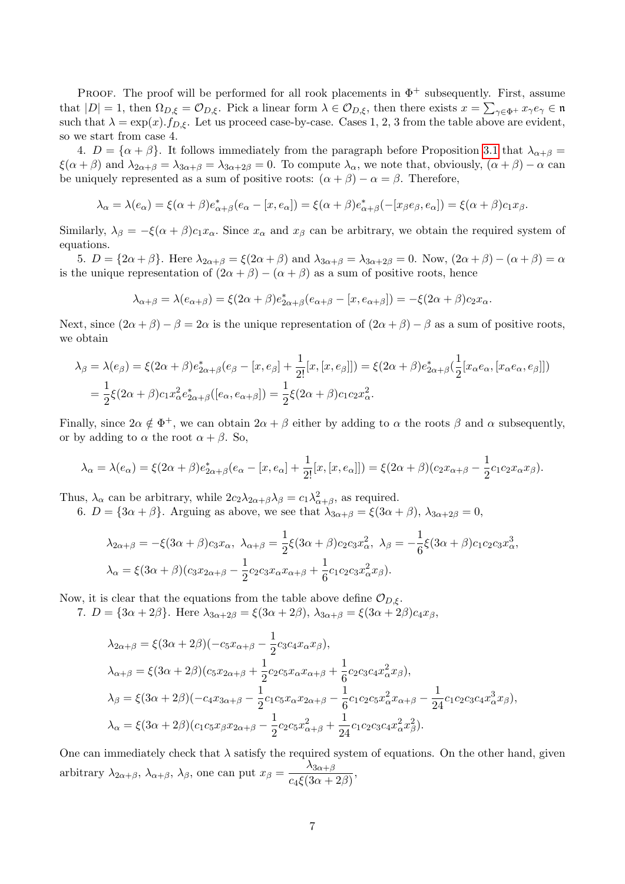PROOF. The proof will be performed for all rook placements in  $\Phi^+$  subsequently. First, assume that  $|D|=1$ , then  $\Omega_{D,\xi}=\mathcal{O}_{D,\xi}$ . Pick a linear form  $\lambda \in \mathcal{O}_{D,\xi}$ , then there exists  $x=\sum_{\gamma\in\Phi^+}x_{\gamma}e_{\gamma}\in\mathfrak{n}$ such that  $\lambda = \exp(x) \cdot f_{D,\xi}$ . Let us proceed case-by-case. Cases 1, 2, 3 from the table above are evident, so we start from case 4.

4.  $D = {\alpha + \beta}$ . It follows immediately from the paragraph before Proposition [3.1](#page-0-0) that  $\lambda_{\alpha+\beta}$  $\xi(\alpha + \beta)$  and  $\lambda_{2\alpha+\beta} = \lambda_{3\alpha+\beta} = \lambda_{3\alpha+2\beta} = 0$ . To compute  $\lambda_{\alpha}$ , we note that, obviously,  $(\alpha + \beta) - \alpha$  can be uniquely represented as a sum of positive roots:  $(\alpha + \beta) - \alpha = \beta$ . Therefore,

$$
\lambda_{\alpha} = \lambda(e_{\alpha}) = \xi(\alpha + \beta)e_{\alpha + \beta}^*(e_{\alpha} - [x, e_{\alpha}]) = \xi(\alpha + \beta)e_{\alpha + \beta}^*(-[x_{\beta}e_{\beta}, e_{\alpha}]) = \xi(\alpha + \beta)c_1x_{\beta}.
$$

Similarly,  $\lambda_{\beta} = -\xi(\alpha + \beta)c_1x_{\alpha}$ . Since  $x_{\alpha}$  and  $x_{\beta}$  can be arbitrary, we obtain the required system of equations.

5.  $D = \{2\alpha + \beta\}$ . Here  $\lambda_{2\alpha+\beta} = \xi(2\alpha+\beta)$  and  $\lambda_{3\alpha+\beta} = \lambda_{3\alpha+2\beta} = 0$ . Now,  $(2\alpha+\beta) - (\alpha+\beta) = \alpha$ is the unique representation of  $(2\alpha + \beta) - (\alpha + \beta)$  as a sum of positive roots, hence

$$
\lambda_{\alpha+\beta} = \lambda(e_{\alpha+\beta}) = \xi(2\alpha+\beta)e^*_{2\alpha+\beta}(e_{\alpha+\beta}-[x,e_{\alpha+\beta}]) = -\xi(2\alpha+\beta)c_2x_{\alpha}.
$$

Next, since  $(2\alpha + \beta) - \beta = 2\alpha$  is the unique representation of  $(2\alpha + \beta) - \beta$  as a sum of positive roots, we obtain

$$
\lambda_{\beta} = \lambda(e_{\beta}) = \xi(2\alpha + \beta)e_{2\alpha + \beta}^{*}(e_{\beta} - [x, e_{\beta}] + \frac{1}{2!}[x, [x, e_{\beta}]]) = \xi(2\alpha + \beta)e_{2\alpha + \beta}^{*}(\frac{1}{2}[x_{\alpha}e_{\alpha}, [x_{\alpha}e_{\alpha}, e_{\beta}]])
$$
  
=  $\frac{1}{2}\xi(2\alpha + \beta)c_{1}x_{\alpha}^{2}e_{2\alpha + \beta}^{*}([e_{\alpha}, e_{\alpha + \beta}]) = \frac{1}{2}\xi(2\alpha + \beta)c_{1}cz_{\alpha}^{2}.$ 

Finally, since  $2\alpha \notin \Phi^+$ , we can obtain  $2\alpha + \beta$  either by adding to  $\alpha$  the roots  $\beta$  and  $\alpha$  subsequently, or by adding to  $\alpha$  the root  $\alpha + \beta$ . So,

$$
\lambda_{\alpha} = \lambda(e_{\alpha}) = \xi(2\alpha + \beta)e_{2\alpha + \beta}^{*}(e_{\alpha} - [x, e_{\alpha}] + \frac{1}{2!}[x, [x, e_{\alpha}]]) = \xi(2\alpha + \beta)(c_2x_{\alpha + \beta} - \frac{1}{2}c_1c_2x_{\alpha}x_{\beta}).
$$

Thus,  $\lambda_{\alpha}$  can be arbitrary, while  $2c_2\lambda_{2\alpha+\beta}\lambda_{\beta} = c_1\lambda_{\alpha+\beta}^2$ , as required.

6.  $D = \{3\alpha + \beta\}$ . Arguing as above, we see that  $\lambda_{3\alpha+\beta} = \xi(3\alpha+\beta)$ ,  $\lambda_{3\alpha+2\beta} = 0$ ,

$$
\lambda_{2\alpha+\beta} = -\xi (3\alpha + \beta)c_3 x_\alpha, \ \lambda_{\alpha+\beta} = \frac{1}{2}\xi (3\alpha + \beta)c_2 c_3 x_\alpha^2, \ \lambda_{\beta} = -\frac{1}{6}\xi (3\alpha + \beta)c_1 c_2 c_3 x_\alpha^3,
$$

$$
\lambda_{\alpha} = \xi (3\alpha + \beta)(c_3 x_{2\alpha + \beta} - \frac{1}{2}c_2 c_3 x_\alpha x_{\alpha + \beta} + \frac{1}{6}c_1 c_2 c_3 x_\alpha^2 x_\beta).
$$

Now, it is clear that the equations from the table above define  $\mathcal{O}_{D,\xi}$ .

7.  $D = \{3\alpha + 2\beta\}$ . Here  $\lambda_{3\alpha+2\beta} = \xi(3\alpha+2\beta), \lambda_{3\alpha+\beta} = \xi(3\alpha+2\beta)c_4x_\beta$ ,

$$
\lambda_{2\alpha+\beta} = \xi(3\alpha+2\beta)(-c_5x_{\alpha+\beta}-\frac{1}{2}c_3c_4x_{\alpha}x_{\beta}),
$$
  
\n
$$
\lambda_{\alpha+\beta} = \xi(3\alpha+2\beta)(c_5x_{2\alpha+\beta}+\frac{1}{2}c_2c_5x_{\alpha}x_{\alpha+\beta}+\frac{1}{6}c_2c_3c_4x_{\alpha}^2x_{\beta}),
$$
  
\n
$$
\lambda_{\beta} = \xi(3\alpha+2\beta)(-c_4x_{3\alpha+\beta}-\frac{1}{2}c_1c_5x_{\alpha}x_{2\alpha+\beta}-\frac{1}{6}c_1c_2c_5x_{\alpha}^2x_{\alpha+\beta}-\frac{1}{24}c_1c_2c_3c_4x_{\alpha}^3x_{\beta}),
$$
  
\n
$$
\lambda_{\alpha} = \xi(3\alpha+2\beta)(c_1c_5x_{\beta}x_{2\alpha+\beta}-\frac{1}{2}c_2c_5x_{\alpha+\beta}^2+\frac{1}{24}c_1c_2c_3c_4x_{\alpha}^2x_{\beta}^2).
$$

One can immediately check that  $\lambda$  satisfy the required system of equations. On the other hand, given arbitrary  $\lambda_{2\alpha+\beta}$ ,  $\lambda_{\alpha+\beta}$ ,  $\lambda_{\beta}$ , one can put  $x_{\beta} = \frac{\lambda_{3\alpha+\beta}}{\alpha(\beta_{3\alpha})}$  $\frac{R_{3\alpha+p}}{c_4\xi(3\alpha+2\beta)},$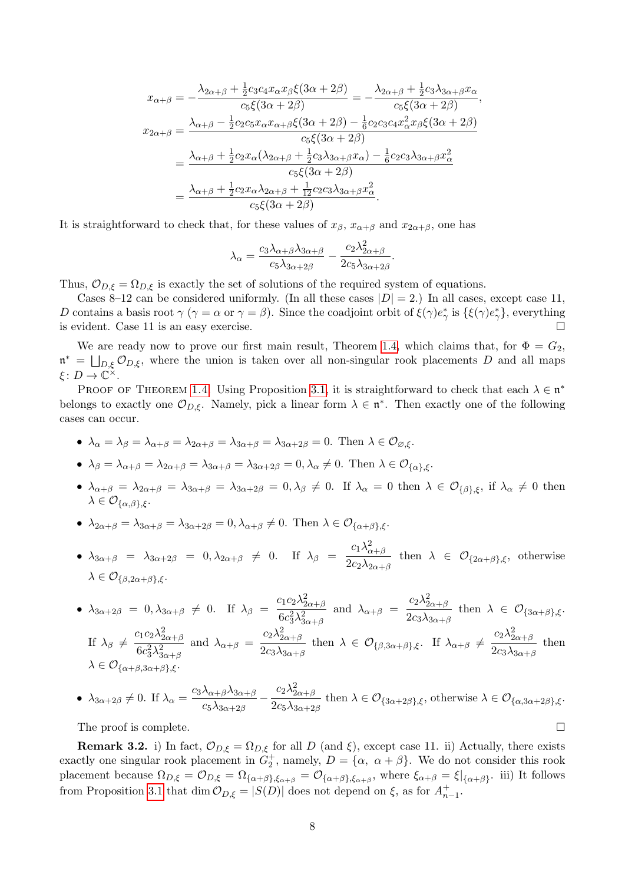$$
x_{\alpha+\beta} = -\frac{\lambda_{2\alpha+\beta} + \frac{1}{2}c_3c_4x_{\alpha}x_{\beta}\xi(3\alpha+2\beta)}{c_5\xi(3\alpha+2\beta)} = -\frac{\lambda_{2\alpha+\beta} + \frac{1}{2}c_3\lambda_{3\alpha+\beta}x_{\alpha}}{c_5\xi(3\alpha+2\beta)},
$$
  
\n
$$
x_{2\alpha+\beta} = \frac{\lambda_{\alpha+\beta} - \frac{1}{2}c_2c_5x_{\alpha}x_{\alpha+\beta}\xi(3\alpha+2\beta) - \frac{1}{6}c_2c_3c_4x_{\alpha}^2x_{\beta}\xi(3\alpha+2\beta)}{c_5\xi(3\alpha+2\beta)}
$$
  
\n
$$
= \frac{\lambda_{\alpha+\beta} + \frac{1}{2}c_2x_{\alpha}(\lambda_{2\alpha+\beta} + \frac{1}{2}c_3\lambda_{3\alpha+\beta}x_{\alpha}) - \frac{1}{6}c_2c_3\lambda_{3\alpha+\beta}x_{\alpha}^2}{c_5\xi(3\alpha+2\beta)}
$$
  
\n
$$
= \frac{\lambda_{\alpha+\beta} + \frac{1}{2}c_2x_{\alpha}\lambda_{2\alpha+\beta} + \frac{1}{12}c_2c_3\lambda_{3\alpha+\beta}x_{\alpha}^2}{c_5\xi(3\alpha+2\beta)}.
$$

It is straightforward to check that, for these values of  $x_{\beta}$ ,  $x_{\alpha+\beta}$  and  $x_{2\alpha+\beta}$ , one has

$$
\lambda_{\alpha} = \frac{c_3 \lambda_{\alpha+\beta} \lambda_{3\alpha+\beta}}{c_5 \lambda_{3\alpha+2\beta}} - \frac{c_2 \lambda_{2\alpha+\beta}^2}{2c_5 \lambda_{3\alpha+2\beta}}.
$$

Thus,  $\mathcal{O}_{D,\xi} = \Omega_{D,\xi}$  is exactly the set of solutions of the required system of equations.

Cases 8–12 can be considered uniformly. (In all these cases  $|D| = 2$ .) In all cases, except case 11, D contains a basis root  $\gamma$  ( $\gamma = \alpha$  or  $\gamma = \beta$ ). Since the coadjoint orbit of  $\xi(\gamma)e^*_{\gamma}$  is  $\{\xi(\gamma)e^*_{\gamma}\}\,$ , everything is evident. Case 11 is an easy exercise.

We are ready now to prove our first main result, Theorem [1.4,](#page-1-0) which claims that, for  $\Phi = G_2$ ,  $\mathfrak{n}^* = \bigsqcup_{D,\xi} \mathcal{O}_{D,\xi}$ , where the union is taken over all non-singular rook placements D and all maps  $\xi\colon D\to \mathbb C^{\times}.$ 

PROOF OF THEOREM [1.4](#page-1-0). Using Proposition [3.1,](#page-0-0) it is straightforward to check that each  $\lambda \in \mathfrak{n}^*$ belongs to exactly one  $\mathcal{O}_{D,\xi}$ . Namely, pick a linear form  $\lambda \in \mathfrak{n}^*$ . Then exactly one of the following cases can occur.

- $\lambda_{\alpha} = \lambda_{\beta} = \lambda_{\alpha+\beta} = \lambda_{2\alpha+\beta} = \lambda_{3\alpha+\beta} = \lambda_{3\alpha+2\beta} = 0$ . Then  $\lambda \in \mathcal{O}_{\beta,\xi}$ .
- $\lambda_{\beta} = \lambda_{\alpha+\beta} = \lambda_{2\alpha+\beta} = \lambda_{3\alpha+\beta} = \lambda_{3\alpha+2\beta} = 0, \lambda_{\alpha} \neq 0$ . Then  $\lambda \in \mathcal{O}_{\{\alpha\},\xi}$ .
- $\lambda_{\alpha+\beta} = \lambda_{2\alpha+\beta} = \lambda_{3\alpha+\beta} = \lambda_{3\alpha+2\beta} = 0, \lambda_{\beta} \neq 0$ . If  $\lambda_{\alpha} = 0$  then  $\lambda \in \mathcal{O}_{\{\beta\},\xi}$ , if  $\lambda_{\alpha} \neq 0$  then  $\lambda \in \mathcal{O}_{\{\alpha,\beta\},\xi}$ .
- $\lambda_{2\alpha+\beta} = \lambda_{3\alpha+\beta} = \lambda_{3\alpha+2\beta} = 0$ ,  $\lambda_{\alpha+\beta} \neq 0$ . Then  $\lambda \in \mathcal{O}_{\{\alpha+\beta\},\xi}$ .
- $\lambda_{3\alpha+\beta}$  =  $\lambda_{3\alpha+2\beta}$  =  $0, \lambda_{2\alpha+\beta} \neq 0$ . If  $\lambda_{\beta}$  =  $c_1\lambda_{\alpha+\beta}^2$  $\frac{1}{2c_2\lambda_{2\alpha+\beta}}$  then  $\lambda \in \mathcal{O}_{\{2\alpha+\beta\},\xi}$ , otherwise  $\lambda \in \mathcal{O}_{\{\beta, 2\alpha+\beta\}, \xi}$ .

• 
$$
\lambda_{3\alpha+2\beta} = 0, \lambda_{3\alpha+\beta} \neq 0
$$
. If  $\lambda_{\beta} = \frac{c_1 c_2 \lambda_{2\alpha+\beta}^2}{6c_3^2 \lambda_{3\alpha+\beta}^2}$  and  $\lambda_{\alpha+\beta} = \frac{c_2 \lambda_{2\alpha+\beta}^2}{2c_3 \lambda_{3\alpha+\beta}}$  then  $\lambda \in \mathcal{O}_{\{3\alpha+\beta\},\xi}$ .  
If  $\lambda_{\beta} \neq \frac{c_1 c_2 \lambda_{2\alpha+\beta}^2}{6c_3^2 \lambda_{3\alpha+\beta}^2}$  and  $\lambda_{\alpha+\beta} = \frac{c_2 \lambda_{2\alpha+\beta}^2}{2c_3 \lambda_{3\alpha+\beta}}$  then  $\lambda \in \mathcal{O}_{\{\beta,3\alpha+\beta\},\xi}$ . If  $\lambda_{\alpha+\beta} \neq \frac{c_2 \lambda_{2\alpha+\beta}^2}{2c_3 \lambda_{3\alpha+\beta}}$  then  $\lambda \in \mathcal{O}_{\{\alpha+\beta,3\alpha+\beta\},\xi}$ .

• 
$$
\lambda_{3\alpha+2\beta}\neq 0
$$
. If  $\lambda_{\alpha} = \frac{c_3\lambda_{\alpha+\beta}\lambda_{3\alpha+\beta}}{c_5\lambda_{3\alpha+2\beta}} - \frac{c_2\lambda_{2\alpha+\beta}^2}{2c_5\lambda_{3\alpha+2\beta}}$  then  $\lambda \in \mathcal{O}_{\{3\alpha+2\beta\},\xi}$ , otherwise  $\lambda \in \mathcal{O}_{\{\alpha,3\alpha+2\beta\},\xi}$ .

The proof is complete.  $\Box$ 

**Remark 3.2.** i) In fact,  $\mathcal{O}_{D,\xi} = \Omega_{D,\xi}$  for all D (and  $\xi$ ), except case 11. ii) Actually, there exists exactly one singular rook placement in  $G_2^+$ , namely,  $D = {\alpha, \alpha + \beta}$ . We do not consider this rook placement because  $\Omega_{D,\xi} = \mathcal{O}_{D,\xi} = \Omega_{\{\alpha+\beta\},\xi_{\alpha+\beta}} = \mathcal{O}_{\{\alpha+\beta\},\xi_{\alpha+\beta}},$  where  $\xi_{\alpha+\beta} = \xi|_{\{\alpha+\beta\}}$ . iii) It follows from Proposition [3.1](#page-0-0) that  $\dim \mathcal{O}_{D,\xi} = |S(D)|$  does not depend on  $\xi$ , as for  $A_{n-1}^+$ .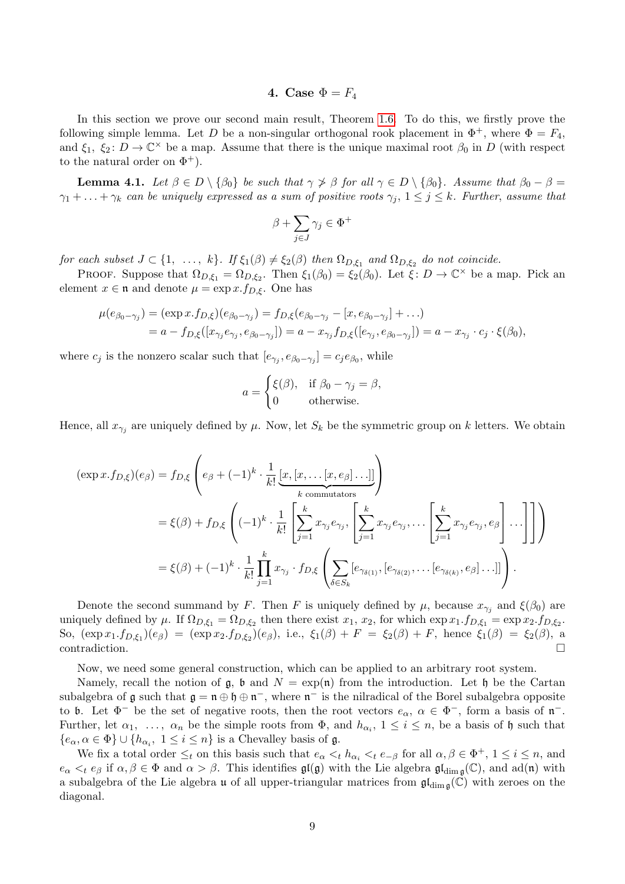# 4. Case  $\Phi = F_4$

In this section we prove our second main result, Theorem [1.6.](#page-1-1) To do this, we firstly prove the following simple lemma. Let D be a non-singular orthogonal rook placement in  $\Phi^+$ , where  $\Phi = F_4$ , and  $\xi_1, \xi_2: D \to \mathbb{C}^\times$  be a map. Assume that there is the unique maximal root  $\beta_0$  in D (with respect to the natural order on  $\Phi^+$ ).

**Lemma 4.1.** Let  $\beta \in D \setminus {\beta_0}$  be such that  $\gamma \not\geq \beta$  for all  $\gamma \in D \setminus {\beta_0}$ . Assume that  $\beta_0 - \beta =$  $\gamma_1 + \ldots + \gamma_k$  can be uniquely expressed as a sum of positive roots  $\gamma_j$ ,  $1 \leq j \leq k$ . Further, assume that

$$
\beta+\sum_{j\in J}\gamma_j\in\Phi^+
$$

for each subset  $J \subset \{1, \ldots, k\}$ . If  $\xi_1(\beta) \neq \xi_2(\beta)$  then  $\Omega_{D,\xi_1}$  and  $\Omega_{D,\xi_2}$  do not coincide.

PROOF. Suppose that  $\Omega_{D,\xi_1} = \Omega_{D,\xi_2}$ . Then  $\xi_1(\beta_0) = \xi_2(\beta_0)$ . Let  $\xi: D \to \mathbb{C}^\times$  be a map. Pick an element  $x \in \mathfrak{n}$  and denote  $\mu = \exp x \cdot f_{D,\xi}$ . One has

$$
\mu(e_{\beta_0-\gamma_j}) = (\exp x.f_{D,\xi})(e_{\beta_0-\gamma_j}) = f_{D,\xi}(e_{\beta_0-\gamma_j} - [x, e_{\beta_0-\gamma_j}] + ...)
$$
  
=  $a - f_{D,\xi}([x_{\gamma_j}e_{\gamma_j}, e_{\beta_0-\gamma_j}]) = a - x_{\gamma_j}f_{D,\xi}([e_{\gamma_j}, e_{\beta_0-\gamma_j}]) = a - x_{\gamma_j} \cdot c_j \cdot \xi(\beta_0),$ 

where  $c_j$  is the nonzero scalar such that  $[e_{\gamma_j}, e_{\beta_0-\gamma_j}] = c_j e_{\beta_0}$ , while

$$
a = \begin{cases} \xi(\beta), & \text{if } \beta_0 - \gamma_j = \beta, \\ 0 & \text{otherwise.} \end{cases}
$$

Hence, all  $x_{\gamma_j}$  are uniquely defined by  $\mu$ . Now, let  $S_k$  be the symmetric group on k letters. We obtain

$$
(\exp x.f_{D,\xi})(e_{\beta}) = f_{D,\xi} \left( e_{\beta} + (-1)^k \cdot \frac{1}{k!} \underbrace{[x,[x,\ldots[x,e_{\beta}]\ldots]]}_{k \text{ commutators}} \right)
$$
  
\n
$$
= \xi(\beta) + f_{D,\xi} \left( (-1)^k \cdot \frac{1}{k!} \left[ \sum_{j=1}^k x_{\gamma_j} e_{\gamma_j}, \left[ \sum_{j=1}^k x_{\gamma_j} e_{\gamma_j}, \ldots \left[ \sum_{j=1}^k x_{\gamma_j} e_{\gamma_j}, e_{\beta} \right] \ldots \right] \right] \right)
$$
  
\n
$$
= \xi(\beta) + (-1)^k \cdot \frac{1}{k!} \prod_{j=1}^k x_{\gamma_j} \cdot f_{D,\xi} \left( \sum_{\delta \in S_k} [e_{\gamma_{\delta(1)}}, [e_{\gamma_{\delta(2)}}, \ldots [e_{\gamma_{\delta(k)}}, e_{\beta}] \ldots]] \right).
$$

Denote the second summand by F. Then F is uniquely defined by  $\mu$ , because  $x_{\gamma_j}$  and  $\xi(\beta_0)$  are uniquely defined by  $\mu$ . If  $\Omega_{D,\xi_1} = \Omega_{D,\xi_2}$  then there exist  $x_1, x_2$ , for which  $\exp x_1 f_{D,\xi_1} = \exp x_2.f_{D,\xi_2}$ . So,  $(\exp x_1.f_{D,\xi_1})(e_\beta) = (\exp x_2.f_{D,\xi_2})(e_\beta)$ , i.e.,  $\xi_1(\beta) + F = \xi_2(\beta) + F$ , hence  $\xi_1(\beta) = \xi_2(\beta)$ , a contradiction.

Now, we need some general construction, which can be applied to an arbitrary root system.

Namely, recall the notion of  $\mathfrak{g}$ ,  $\mathfrak{b}$  and  $N = \exp(\mathfrak{n})$  from the introduction. Let  $\mathfrak{h}$  be the Cartan subalgebra of  $\mathfrak g$  such that  $\mathfrak g = \mathfrak n \oplus \mathfrak h \oplus \mathfrak n^-$ , where  $\mathfrak n^-$  is the nilradical of the Borel subalgebra opposite to b. Let  $\Phi^-$  be the set of negative roots, then the root vectors  $e_\alpha, \alpha \in \Phi^-$ , form a basis of  $\mathfrak{n}^-$ . Further, let  $\alpha_1, \ldots, \alpha_n$  be the simple roots from  $\Phi$ , and  $h_{\alpha_i}$ ,  $1 \leq i \leq n$ , be a basis of h such that  $\{e_{\alpha}, \alpha \in \Phi\} \cup \{h_{\alpha_i}, 1 \leq i \leq n\}$  is a Chevalley basis of  $\mathfrak{g}$ .

We fix a total order  $\leq_t$  on this basis such that  $e_\alpha <_t h_{\alpha_i} <_t e_{-\beta}$  for all  $\alpha, \beta \in \Phi^+$ ,  $1 \leq i \leq n$ , and  $e_{\alpha} <_t e_{\beta}$  if  $\alpha, \beta \in \Phi$  and  $\alpha > \beta$ . This identifies  $\mathfrak{gl}(\mathfrak{g})$  with the Lie algebra  $\mathfrak{gl}_{\dim \mathfrak{g}}(\mathbb{C})$ , and  $ad(\mathfrak{n})$  with a subalgebra of the Lie algebra  $\mathfrak u$  of all upper-triangular matrices from  $\mathfrak{gl}_{\dim \mathfrak{g}}(\tilde{\mathbb C})$  with zeroes on the diagonal.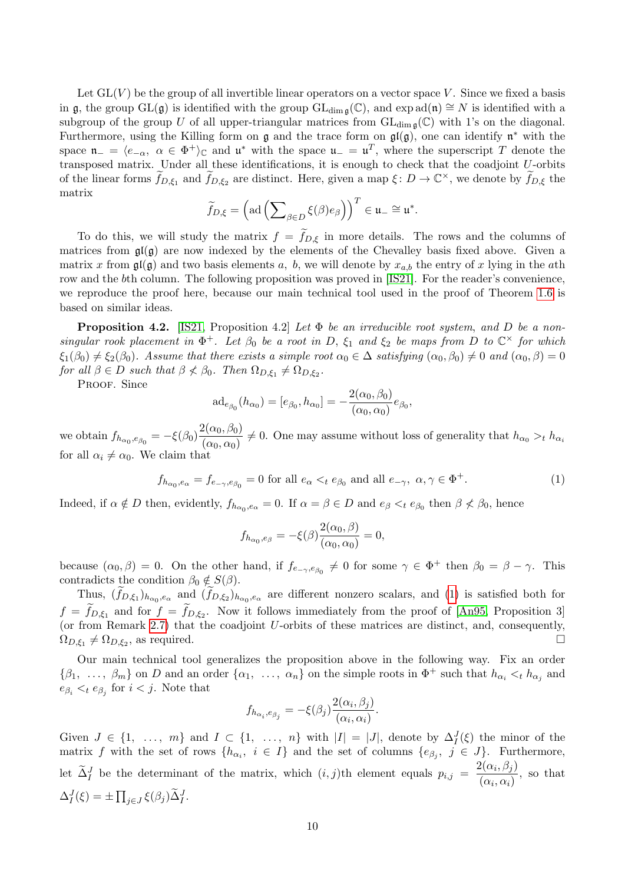Let  $GL(V)$  be the group of all invertible linear operators on a vector space V. Since we fixed a basis in g, the group GL(g) is identified with the group  $GL_{dim\mathfrak{g}}(\mathbb{C})$ , and  $\exp ad(\mathfrak{n}) \cong N$  is identified with a subgroup of the group U of all upper-triangular matrices from  $GL_{\dim\mathfrak{g}}(\mathbb{C})$  with 1's on the diagonal. Furthermore, using the Killing form on  $\mathfrak g$  and the trace form on  $\mathfrak{gl}(\mathfrak g)$ , one can identify  $\mathfrak n^*$  with the space  $\mathfrak{n}_{-} = \langle e_{-\alpha}, \alpha \in \Phi^+ \rangle_{\mathbb{C}}$  and  $\mathfrak{u}^*$  with the space  $\mathfrak{u}_{-} = \mathfrak{u}^T$ , where the superscript T denote the transposed matrix. Under all these identifications, it is enough to check that the coadjoint U-orbits of the linear forms  $\widetilde{f}_{D,\xi_1}$  and  $\widetilde{f}_{D,\xi_2}$  are distinct. Here, given a map  $\xi: D \to \mathbb{C}^\times$ , we denote by  $\widetilde{f}_{D,\xi}$  the matrix

$$
\widetilde{f}_{D,\xi} = \left(\mathrm{ad}\left(\sum\nolimits_{\beta \in D} \xi(\beta) e_{\beta}\right)\right)^{T} \in \mathfrak{u}_{-} \cong \mathfrak{u}^{*}.
$$

To do this, we will study the matrix  $f = f_{D,\xi}$  in more details. The rows and the columns of matrices from  $\mathfrak{gl}(\mathfrak{g})$  are now indexed by the elements of the Chevalley basis fixed above. Given a matrix x from  $\mathfrak{gl}(\mathfrak{g})$  and two basis elements a, b, we will denote by  $x_{a,b}$  the entry of x lying in the ath row and the bth column. The following proposition was proved in [\[IS21\]](#page-15-13). For the reader's convenience, we reproduce the proof here, because our main technical tool used in the proof of Theorem [1.6](#page-1-1) is based on similar ideas.

**Proposition 4.2.** [\[IS21,](#page-15-13) Proposition 4.2] Let  $\Phi$  be an irreducible root system, and D be a nonsingular rook placement in  $\Phi^+$ . Let  $\beta_0$  be a root in D,  $\xi_1$  and  $\xi_2$  be maps from D to  $\mathbb{C}^\times$  for which  $\xi_1(\beta_0) \neq \xi_2(\beta_0)$ . Assume that there exists a simple root  $\alpha_0 \in \Delta$  satisfying  $(\alpha_0, \beta_0) \neq 0$  and  $(\alpha_0, \beta) = 0$ for all  $\beta \in D$  such that  $\beta \nless \beta_0$ . Then  $\Omega_{D,\xi_1} \neq \Omega_{D,\xi_2}$ .

PROOF. Since

$$
\mathrm{ad}_{e_{\beta_0}}(h_{\alpha_0}) = [e_{\beta_0}, h_{\alpha_0}] = -\frac{2(\alpha_0, \beta_0)}{(\alpha_0, \alpha_0)} e_{\beta_0},
$$

we obtain  $f_{h_{\alpha_0}, e_{\beta_0}} = -\xi(\beta_0) \frac{2(\alpha_0, \beta_0)}{(\alpha_0, \alpha_0)}$  $\frac{P(\alpha_0, \beta_0)}{P(\alpha_0, \alpha_0)} \neq 0$ . One may assume without loss of generality that  $h_{\alpha_0} >_t h_{\alpha_0}$ for all  $\alpha_i \neq \alpha_0$ . We claim that

<span id="page-9-0"></span>
$$
f_{h_{\alpha_0}, e_{\alpha}} = f_{e_{-\gamma}, e_{\beta_0}} = 0 \text{ for all } e_{\alpha} <_{t} e_{\beta_0} \text{ and all } e_{-\gamma}, \ \alpha, \gamma \in \Phi^+.
$$

Indeed, if  $\alpha \notin D$  then, evidently,  $f_{h_{\alpha_0}, e_\alpha} = 0$ . If  $\alpha = \beta \in D$  and  $e_\beta <_t e_{\beta_0}$  then  $\beta \not< \beta_0$ , hence

$$
f_{h_{\alpha_0}, e_{\beta}} = -\xi(\beta) \frac{2(\alpha_0, \beta)}{(\alpha_0, \alpha_0)} = 0,
$$

because  $(\alpha_0, \beta) = 0$ . On the other hand, if  $f_{e_{-\gamma}, e_{\beta_0}} \neq 0$  for some  $\gamma \in \Phi^+$  then  $\beta_0 = \beta - \gamma$ . This contradicts the condition  $\beta_0 \notin S(\beta)$ .

Thus,  $(f_{D,\xi_1})_{h_{\alpha_0},e_\alpha}$  and  $(f_{D,\xi_2})_{h_{\alpha_0},e_\alpha}$  are different nonzero scalars, and [\(1\)](#page-9-0) is satisfied both for  $f = f_{D,\xi_1}$  and for  $f = f_{D,\xi_2}$ . Now it follows immediately from the proof of [\[An95,](#page-15-2) Proposition 3] (or from Remark [2.7\)](#page-4-0) that the coadjoint  $U$ -orbits of these matrices are distinct, and, consequently,  $\Omega_{D,\xi_1} \neq \Omega_{D,\xi_2}$ , as required.

Our main technical tool generalizes the proposition above in the following way. Fix an order  $\{\beta_1, \ldots, \beta_m\}$  on D and an order  $\{\alpha_1, \ldots, \alpha_n\}$  on the simple roots in  $\Phi^+$  such that  $h_{\alpha_i} \leq_t h_{\alpha_j}$  and  $e_{\beta_i} <_t e_{\beta_j}$  for  $i < j$ . Note that

$$
f_{h_{\alpha_i}, e_{\beta_j}} = -\xi(\beta_j) \frac{2(\alpha_i, \beta_j)}{(\alpha_i, \alpha_i)}.
$$

Given  $J \in \{1, \ldots, m\}$  and  $I \subset \{1, \ldots, n\}$  with  $|I| = |J|$ , denote by  $\Delta_I^J(\xi)$  the minor of the matrix f with the set of rows  $\{h_{\alpha_i}, i \in I\}$  and the set of columns  $\{e_{\beta_j}, j \in J\}$ . Furthermore, let  $\tilde{\Delta}_I^J$  be the determinant of the matrix, which  $(i, j)$ th element equals  $p_{i,j} = \frac{2(\alpha_i, \beta_j)}{(\alpha_i, \alpha_j)}$  $\frac{\alpha_i(\alpha_i,\beta_j)}{(\alpha_i,\alpha_i)},$  so that  $\Delta_I^J(\xi) = \pm \prod_{j \in J} \xi(\beta_j) \widetilde{\Delta}_I^J.$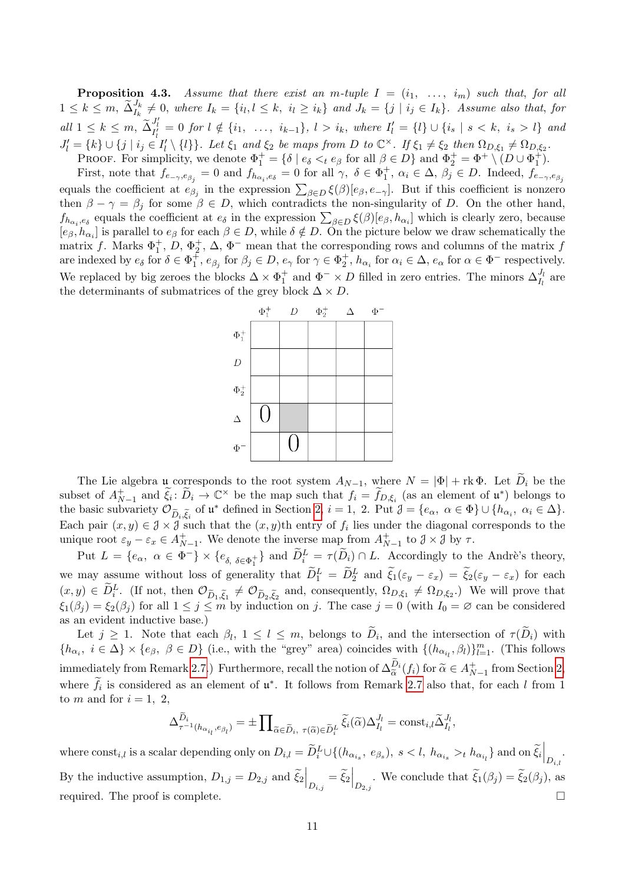**Proposition 4.3.** Assume that there exist an m-tuple  $I = (i_1, \ldots, i_m)$  such that, for all  $1 \leq k \leq m$ ,  $\tilde{\Delta}_{I_k}^{J_k} \neq 0$ , where  $I_k = \{i_l, l \leq k, i_l \geq i_k\}$  and  $J_k = \{j \mid i_j \in I_k\}$ . Assume also that, for  $all \ 1 \leq k \leq m, \ \widetilde{\Delta}^{J'_{l}}_{I'_{l}} = 0 \ for \ l \notin \{i_{1}, \ \ldots, \ i_{k-1}\}, \ l > i_{k}, \ where \ I'_{l} = \{l\} \cup \{i_{s} \ | \ s < k, \ i_{s} > l\} \ and$  $J'_l = \{k\} \cup \{j \mid i_j \in I'_l \setminus \{l\}\}\.$  Let  $\xi_1$  and  $\xi_2$  be maps from D to  $\mathbb{C}^\times$ . If  $\xi_1 \neq \xi_2$  then  $\Omega_{D,\xi_1} \neq \Omega_{D,\xi_2}$ . **PROOF.** For simplicity, we denote  $\Phi_1^+ = \{ \delta \mid e_\delta \leq t e_\beta \text{ for all } \beta \in D \}$  and  $\Phi_2^+ = \Phi^+ \setminus (D \cup \Phi_1^+)$ .

First, note that  $f_{e-\gamma,e_{\beta_j}}=0$  and  $f_{h_{\alpha_i},e_\delta}=0$  for all  $\gamma, \delta \in \Phi_1^+$ ,  $\alpha_i \in \Delta, \beta_j \in D$ . Indeed,  $f_{e-\gamma,e_{\beta_j}}$ equals the coefficient at  $e_{\beta_j}$  in the expression  $\sum_{\beta \in D} \xi(\beta)[e_{\beta}, e_{-\gamma}]$ . But if this coefficient is nonzero then  $\beta - \gamma = \beta_j$  for some  $\beta \in D$ , which contradicts the non-singularity of D. On the other hand,  $f_{h_{\alpha_i},e_\delta}$  equals the coefficient at  $e_\delta$  in the expression  $\sum_{\beta \in D} \xi(\beta)[e_\beta, h_{\alpha_i}]$  which is clearly zero, because  $[e_\beta, h_{\alpha_i}]$  is parallel to  $e_\beta$  for each  $\beta \in D$ , while  $\delta \notin D$ . On the picture below we draw schematically the matrix f. Marks  $\Phi_1^+$ , D,  $\Phi_2^+$ ,  $\Delta$ ,  $\Phi^-$  mean that the corresponding rows and columns of the matrix f are indexed by  $e_{\delta}$  for  $\delta \in \Phi_1^{\pm}$ ,  $e_{\beta_j}$  for  $\beta_j \in D$ ,  $e_{\gamma}$  for  $\gamma \in \Phi_2^{\pm}$ ,  $h_{\alpha_i}$  for  $\alpha_i \in \Delta$ ,  $e_{\alpha}$  for  $\alpha \in \Phi$ <sup>-</sup> respectively. We replaced by big zeroes the blocks  $\Delta \times \Phi_1^+$  and  $\Phi^- \times D$  filled in zero entries. The minors  $\Delta_{I_l}^{J_l}$  are the determinants of submatrices of the grey block  $\Delta \times D$ .



The Lie algebra u corresponds to the root system  $A_{N-1}$ , where  $N = |\Phi| + \text{rk }\Phi$ . Let  $\widetilde{D}_i$  be the subset of  $A_{N-1}^+$  and  $\tilde{\xi}_i : \tilde{D}_i \to \mathbb{C}^\times$  be the map such that  $f_i = \tilde{f}_{D,\xi_i}$  (as an element of  $\mathfrak{u}^*$ ) belongs to the basic subvariety  $\mathcal{O}_{\widetilde{D}_i,\widetilde{\xi}_i}$  of  $\mathfrak{u}^*$  defined in Section [2,](#page-2-0)  $i = 1, 2$ . Put  $\mathcal{J} = \{e_\alpha, \alpha \in \Phi\} \cup \{h_{\alpha_i}, \alpha_i \in \Delta\}$ . Each pair  $(x, y) \in \mathcal{J} \times \mathcal{J}$  such that the  $(x, y)$ <sup>th</sup> entry of  $f_i$  lies under the diagonal corresponds to the unique root  $\varepsilon_y - \varepsilon_x \in A_{N-1}^+$ . We denote the inverse map from  $A_{N-1}^+$  to  $\mathcal{J} \times \mathcal{J}$  by  $\tau$ .

Put  $L = \{e_{\alpha}, \alpha \in \Phi^-\} \times \{e_{\delta, \delta \in \Phi_1^+}\}\$ and  $\widetilde{D}_i^L = \tau(\widetilde{D}_i) \cap L$ . Accordingly to the Andrè's theory, we may assume without loss of generality that  $\widetilde{D}_1^L = \widetilde{D}_2^L$  and  $\widetilde{\xi}_1(\varepsilon_y - \varepsilon_x) = \widetilde{\xi}_2(\varepsilon_y - \varepsilon_x)$  for each  $(x, y) \in \tilde{D}_i^L$ . (If not, then  $\mathcal{O}_{\tilde{D}_1, \tilde{\xi}_1} \neq \mathcal{O}_{\tilde{D}_2, \tilde{\xi}_2}$  and, consequently,  $\Omega_{D, \xi_1} \neq \Omega_{D, \xi_2}$ .) We will prove that  $\xi_1(\beta_j) = \xi_2(\beta_j)$  for all  $1 \leq j \leq m$  by induction on j. The case  $j = 0$  (with  $I_0 = \emptyset$  can be considered as an evident inductive base.)

Let  $j \geq 1$ . Note that each  $\beta_l$ ,  $1 \leq l \leq m$ , belongs to  $D_i$ , and the intersection of  $\tau(D_i)$  with  ${h_{\alpha_i}, i \in \Delta} \times {e_{\beta}, \beta \in D}$  (i.e., with the "grey" area) coincides with  ${(h_{\alpha_{i_l}}, \beta_l)}_{l=1}^m$ . (This follows immediately from Remark [2.7.](#page-4-0)) Furthermore, recall the notion of  $\Delta_{\widetilde{\alpha}}^{D_i}(f_i)$  for  $\widetilde{\alpha} \in A_{N-1}^+$  from Section [2,](#page-2-0)  $\tilde{\alpha}$ where  $\tilde{f}_i$  is considered as an element of  $\mathfrak{u}^*$ . It follows from Remark [2.7](#page-4-0) also that, for each l from 1 to m and for  $i = 1, 2$ ,

$$
\Delta^{\widetilde{D}_i}_{\tau^{-1}(h_{\alpha_{i_l}}, e_{\beta_l})} = \pm \prod_{\widetilde{\alpha} \in \widetilde{D}_i, \ \tau(\widetilde{\alpha}) \in \widetilde{D}_i^L} \widetilde{\xi}_i(\widetilde{\alpha}) \Delta_{I_l}^{J_l} = \text{const}_{i,l} \widetilde{\Delta}_{I_l}^{J_l},
$$

where  $\text{const}_{i,l}$  is a scalar depending only on  $D_{i,l} = \tilde{D}_i^L \cup \{(h_{\alpha_{i_s}}, e_{\beta_s}), s < l, h_{\alpha_{i_s}} >_t h_{\alpha_{i_l}}\}$  and on  $\tilde{\xi}_i\Big|_{D_{i,l}}$ . By the inductive assumption,  $D_{1,j} = D_{2,j}$  and  $\tilde{\xi}_2\Big|_{D_{i,j}} = \tilde{\xi}_2\Big|_{D_{2,j}}$ . We conclude that  $\tilde{\xi}_1(\beta_j) = \tilde{\xi}_2(\beta_j)$ , as required. The proof is complete.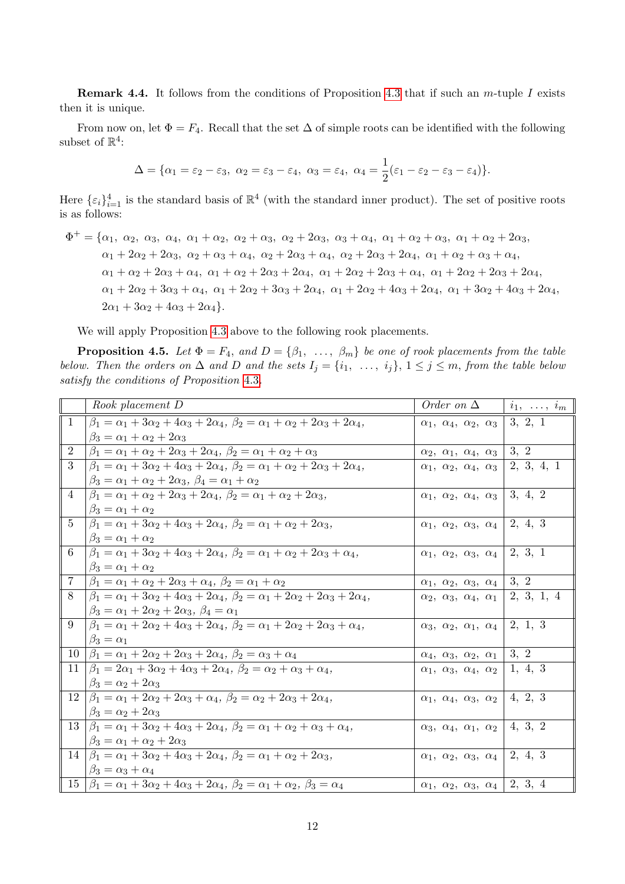**Remark 4.4.** It follows from the conditions of Proposition [4.3](#page-1-2) that if such an  $m$ -tuple I exists then it is unique.

From now on, let  $\Phi = F_4$ . Recall that the set  $\Delta$  of simple roots can be identified with the following subset of  $\mathbb{R}^4$ :

$$
\Delta = {\alpha_1 = \varepsilon_2 - \varepsilon_3, \ \alpha_2 = \varepsilon_3 - \varepsilon_4, \ \alpha_3 = \varepsilon_4, \ \alpha_4 = \frac{1}{2}(\varepsilon_1 - \varepsilon_2 - \varepsilon_3 - \varepsilon_4).
$$

Here  $\{\varepsilon_i\}_{i=1}^4$  is the standard basis of  $\mathbb{R}^4$  (with the standard inner product). The set of positive roots is as follows:

 $\Phi^+ = {\alpha_1, \alpha_2, \alpha_3, \alpha_4, \alpha_1 + \alpha_2, \alpha_2 + \alpha_3, \alpha_2 + 2\alpha_3, \alpha_3 + \alpha_4, \alpha_1 + \alpha_2 + \alpha_3, \alpha_1 + \alpha_2 + 2\alpha_3,$  $\alpha_1 + 2\alpha_2 + 2\alpha_3$ ,  $\alpha_2 + \alpha_3 + \alpha_4$ ,  $\alpha_2 + 2\alpha_3 + \alpha_4$ ,  $\alpha_2 + 2\alpha_3 + 2\alpha_4$ ,  $\alpha_1 + \alpha_2 + \alpha_3 + \alpha_4$ ,  $\alpha_1 + \alpha_2 + 2\alpha_3 + \alpha_4$ ,  $\alpha_1 + \alpha_2 + 2\alpha_3 + 2\alpha_4$ ,  $\alpha_1 + 2\alpha_2 + 2\alpha_3 + \alpha_4$ ,  $\alpha_1 + 2\alpha_2 + 2\alpha_3 + 2\alpha_4$ ,  $\alpha_1 + 2\alpha_2 + 3\alpha_3 + \alpha_4$ ,  $\alpha_1 + 2\alpha_2 + 3\alpha_3 + 2\alpha_4$ ,  $\alpha_1 + 2\alpha_2 + 4\alpha_3 + 2\alpha_4$ ,  $\alpha_1 + 3\alpha_2 + 4\alpha_3 + 2\alpha_4$ ,  $2\alpha_1 + 3\alpha_2 + 4\alpha_3 + 2\alpha_4$ .

We will apply Proposition [4.3](#page-1-2) above to the following rook placements.

**Proposition 4.5.** Let  $\Phi = F_4$ , and  $D = \{\beta_1, \ldots, \beta_m\}$  be one of rook placements from the table below. Then the orders on  $\Delta$  and  $D$  and the sets  $I_j = \{i_1, \ldots, i_j\}, 1 \leq j \leq m$ , from the table below satisfy the conditions of Proposition [4.3](#page-1-2).

|                | Rook placement D                                                                                                    | Order on $\Delta$                                  | $i_1, \ldots, i_m$ |
|----------------|---------------------------------------------------------------------------------------------------------------------|----------------------------------------------------|--------------------|
| 1              | $\beta_1 = \alpha_1 + 3\alpha_2 + 4\alpha_3 + 2\alpha_4, \ \beta_2 = \alpha_1 + \alpha_2 + 2\alpha_3 + 2\alpha_4,$  | $\alpha_1, \alpha_4, \alpha_2, \alpha_3$           | 3, 2, 1            |
|                | $\beta_3 = \alpha_1 + \alpha_2 + 2\alpha_3$                                                                         |                                                    |                    |
| $\overline{2}$ | $\beta_1 = \alpha_1 + \alpha_2 + 2\alpha_3 + 2\alpha_4, \ \beta_2 = \alpha_1 + \alpha_2 + \alpha_3$                 | $\alpha_2, \alpha_1, \alpha_4, \alpha_3$           | 3, 2               |
| 3              | $\beta_1 = \alpha_1 + 3\alpha_2 + 4\alpha_3 + 2\alpha_4, \ \beta_2 = \alpha_1 + \alpha_2 + 2\alpha_3 + 2\alpha_4,$  | $\alpha_1, \alpha_2, \alpha_4, \alpha_3$           | 2, 3, 4, 1         |
|                | $\beta_3 = \alpha_1 + \alpha_2 + 2\alpha_3, \ \beta_4 = \alpha_1 + \alpha_2$                                        |                                                    |                    |
| 4              | $\beta_1 = \alpha_1 + \alpha_2 + 2\alpha_3 + 2\alpha_4, \ \beta_2 = \alpha_1 + \alpha_2 + 2\alpha_3,$               | $\alpha_1, \alpha_2, \alpha_4, \alpha_3$           | 3, 4, 2            |
|                | $\beta_3 = \alpha_1 + \alpha_2$                                                                                     |                                                    |                    |
| $5^{\circ}$    | $\beta_1 = \alpha_1 + 3\alpha_2 + 4\alpha_3 + 2\alpha_4, \ \beta_2 = \alpha_1 + \alpha_2 + 2\alpha_3,$              | $\alpha_1, \ \alpha_2, \ \alpha_3, \ \alpha_4$     | 2, 4, 3            |
|                | $\beta_3 = \alpha_1 + \alpha_2$                                                                                     |                                                    |                    |
| 6              | $\beta_1 = \alpha_1 + 3\alpha_2 + 4\alpha_3 + 2\alpha_4, \ \beta_2 = \alpha_1 + \alpha_2 + 2\alpha_3 + \alpha_4,$   | $\alpha_1, \ \alpha_2, \ \alpha_3, \ \alpha_4$     | 2, 3, 1            |
|                | $\beta_3 = \alpha_1 + \alpha_2$                                                                                     |                                                    |                    |
| $\overline{7}$ | $\beta_1 = \alpha_1 + \alpha_2 + 2\alpha_3 + \alpha_4, \ \beta_2 = \alpha_1 + \alpha_2$                             | $\alpha_1, \ \alpha_2, \ \alpha_3, \ \alpha_4$     | 3, 2               |
| 8              | $\beta_1 = \alpha_1 + 3\alpha_2 + 4\alpha_3 + 2\alpha_4, \ \beta_2 = \alpha_1 + 2\alpha_2 + 2\alpha_3 + 2\alpha_4,$ | $\alpha_2, \alpha_3, \alpha_4, \alpha_1$           | 2, 3, 1, 4         |
|                | $\beta_3 = \alpha_1 + 2\alpha_2 + 2\alpha_3, \ \beta_4 = \alpha_1$                                                  |                                                    |                    |
| 9              | $\beta_1 = \alpha_1 + 2\alpha_2 + 4\alpha_3 + 2\alpha_4, \ \beta_2 = \alpha_1 + 2\alpha_2 + 2\alpha_3 + \alpha_4,$  | $\alpha_3, \alpha_2, \alpha_1, \alpha_4   2, 1, 3$ |                    |
|                | $\beta_3 = \alpha_1$                                                                                                |                                                    |                    |
| 10             | $\beta_1 = \alpha_1 + 2\alpha_2 + 2\alpha_3 + 2\alpha_4, \ \beta_2 = \alpha_3 + \alpha_4$                           | $\alpha_4, \alpha_3, \alpha_2, \alpha_1$           | $\vert 3, 2 \vert$ |
| 11             | $\beta_1 = 2\alpha_1 + 3\alpha_2 + 4\alpha_3 + 2\alpha_4, \ \beta_2 = \alpha_2 + \alpha_3 + \alpha_4,$              | $\alpha_1, \alpha_3, \alpha_4, \alpha_2$           | 1, 4, 3            |
|                | $\beta_3 = \alpha_2 + 2\alpha_3$                                                                                    |                                                    |                    |
| 12             | $\beta_1 = \alpha_1 + 2\alpha_2 + 2\alpha_3 + \alpha_4, \ \beta_2 = \alpha_2 + 2\alpha_3 + 2\alpha_4,$              | $\alpha_1, \alpha_4, \alpha_3, \alpha_2$           | 4, 2, 3            |
|                | $\beta_3 = \alpha_2 + 2\alpha_3$                                                                                    |                                                    |                    |
|                | $13  \beta_1 = \alpha_1 + 3\alpha_2 + 4\alpha_3 + 2\alpha_4, \beta_2 = \alpha_1 + \alpha_2 + \alpha_3 + \alpha_4,$  | $\alpha_3, \alpha_4, \alpha_1, \alpha_2$           | 4, 3, 2            |
|                | $\beta_3 = \alpha_1 + \alpha_2 + 2\alpha_3$                                                                         |                                                    |                    |
|                | 14 $\beta_1 = \alpha_1 + 3\alpha_2 + 4\alpha_3 + 2\alpha_4$ , $\beta_2 = \alpha_1 + \alpha_2 + 2\alpha_3$ ,         | $\alpha_1, \alpha_2, \alpha_3, \alpha_4$   2, 4, 3 |                    |
|                | $\beta_3 = \alpha_3 + \alpha_4$                                                                                     |                                                    |                    |
| 15             | $\beta_1 = \alpha_1 + 3\alpha_2 + 4\alpha_3 + 2\alpha_4, \ \beta_2 = \alpha_1 + \alpha_2, \ \beta_3 = \alpha_4$     | $\alpha_1, \alpha_2, \alpha_3, \alpha_4   2, 3, 4$ |                    |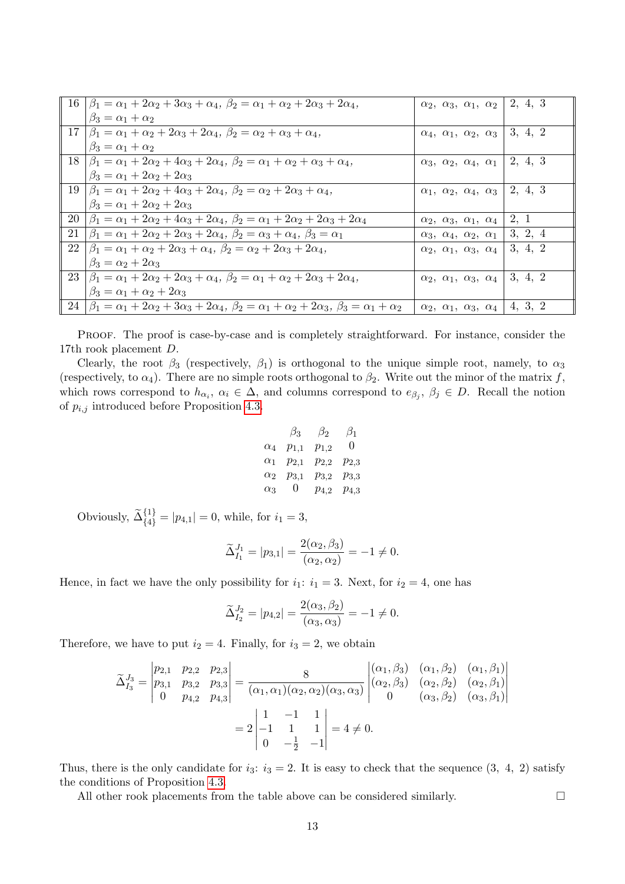|    | $16  \beta_1 = \alpha_1 + 2\alpha_2 + 3\alpha_3 + \alpha_4, \ \beta_2 = \alpha_1 + \alpha_2 + 2\alpha_3 + 2\alpha_4,$                  | $\alpha_2, \alpha_3, \alpha_1, \alpha_2$           | 2, 4, 3 |
|----|----------------------------------------------------------------------------------------------------------------------------------------|----------------------------------------------------|---------|
|    | $\beta_3 = \alpha_1 + \alpha_2$                                                                                                        |                                                    |         |
| 17 | $\beta_1 = \alpha_1 + \alpha_2 + 2\alpha_3 + 2\alpha_4, \ \beta_2 = \alpha_2 + \alpha_3 + \alpha_4,$                                   | $\alpha_4, \alpha_1, \alpha_2, \alpha_3$           | 3, 4, 2 |
|    | $\beta_3 = \alpha_1 + \alpha_2$                                                                                                        |                                                    |         |
|    | $18  \beta_1 = \alpha_1 + 2\alpha_2 + 4\alpha_3 + 2\alpha_4, \beta_2 = \alpha_1 + \alpha_2 + \alpha_3 + \alpha_4,$                     | $\alpha_3, \alpha_2, \alpha_4, \alpha_1$           | 2, 4, 3 |
|    | $\beta_3 = \alpha_1 + 2\alpha_2 + 2\alpha_3$                                                                                           |                                                    |         |
|    | $19  \beta_1 = \alpha_1 + 2\alpha_2 + 4\alpha_3 + 2\alpha_4, \ \beta_2 = \alpha_2 + 2\alpha_3 + \alpha_4,$                             | $\alpha_1, \alpha_2, \alpha_4, \alpha_3$           | 2, 4, 3 |
|    | $\beta_3 = \alpha_1 + 2\alpha_2 + 2\alpha_3$                                                                                           |                                                    |         |
| 20 | $\beta_1 = \alpha_1 + 2\alpha_2 + 4\alpha_3 + 2\alpha_4, \ \beta_2 = \alpha_1 + 2\alpha_2 + 2\alpha_3 + 2\alpha_4$                     | $\alpha_2, \ \alpha_3, \ \alpha_1, \ \alpha_4$     | 2, 1    |
| 21 | $\beta_1 = \alpha_1 + 2\alpha_2 + 2\alpha_3 + 2\alpha_4, \ \beta_2 = \alpha_3 + \alpha_4, \ \beta_3 = \alpha_1$                        | $\alpha_3, \alpha_4, \alpha_2, \alpha_1$           | 3, 2, 4 |
|    | $22  \beta_1 = \alpha_1 + \alpha_2 + 2\alpha_3 + \alpha_4, \ \beta_2 = \alpha_2 + 2\alpha_3 + 2\alpha_4,$                              | $\alpha_2, \alpha_1, \alpha_3, \alpha_4$           | 3, 4, 2 |
|    | $\beta_3 = \alpha_2 + 2\alpha_3$                                                                                                       |                                                    |         |
|    | $23  \beta_1 = \alpha_1 + 2\alpha_2 + 2\alpha_3 + \alpha_4, \ \beta_2 = \alpha_1 + \alpha_2 + 2\alpha_3 + 2\alpha_4,$                  | $\alpha_2, \alpha_1, \alpha_3, \alpha_4$           | 3, 4, 2 |
|    | $\beta_3 = \alpha_1 + \alpha_2 + 2\alpha_3$                                                                                            |                                                    |         |
|    | $24  \beta_1 = \alpha_1 + 2\alpha_2 + 3\alpha_3 + 2\alpha_4, \beta_2 = \alpha_1 + \alpha_2 + 2\alpha_3, \beta_3 = \alpha_1 + \alpha_2$ | $\alpha_2, \alpha_1, \alpha_3, \alpha_4$   4, 3, 2 |         |

PROOF. The proof is case-by-case and is completely straightforward. For instance, consider the 17th rook placement D.

Clearly, the root  $\beta_3$  (respectively,  $\beta_1$ ) is orthogonal to the unique simple root, namely, to  $\alpha_3$ (respectively, to  $\alpha_4$ ). There are no simple roots orthogonal to  $\beta_2$ . Write out the minor of the matrix f, which rows correspond to  $h_{\alpha_i}, \alpha_i \in \Delta$ , and columns correspond to  $e_{\beta_j}, \beta_j \in D$ . Recall the notion of  $p_{i,j}$  introduced before Proposition [4.3.](#page-1-2)

$$
\begin{array}{cccccc}\n & \beta_3 & \beta_2 & \beta_1 \\
\alpha_4 & p_{1,1} & p_{1,2} & 0 \\
\alpha_1 & p_{2,1} & p_{2,2} & p_{2,3} \\
\alpha_2 & p_{3,1} & p_{3,2} & p_{3,3} \\
\alpha_3 & 0 & p_{4,2} & p_{4,3}\n\end{array}
$$

Obviously,  $\widetilde{\Delta}_{\{4\}}^{\{1\}} = |p_{4,1}| = 0$ , while, for  $i_1 = 3$ ,

$$
\widetilde{\Delta}_{I_1}^{J_1}=|p_{3,1}|=\frac{2(\alpha_2,\beta_3)}{(\alpha_2,\alpha_2)}=-1\neq 0.
$$

Hence, in fact we have the only possibility for  $i_1: i_1 = 3$ . Next, for  $i_2 = 4$ , one has

$$
\widetilde{\Delta}_{I_2}^{J_2} = |p_{4,2}| = \frac{2(\alpha_3, \beta_2)}{(\alpha_3, \alpha_3)} = -1 \neq 0.
$$

Therefore, we have to put  $i_2 = 4$ . Finally, for  $i_3 = 2$ , we obtain

$$
\widetilde{\Delta}_{I_3}^{J_3} = \begin{vmatrix} p_{2,1} & p_{2,2} & p_{2,3} \\ p_{3,1} & p_{3,2} & p_{3,3} \\ 0 & p_{4,2} & p_{4,3} \end{vmatrix} = \frac{8}{(\alpha_1, \alpha_1)(\alpha_2, \alpha_2)(\alpha_3, \alpha_3)} \begin{vmatrix} (\alpha_1, \beta_3) & (\alpha_1, \beta_2) & (\alpha_1, \beta_1) \\ (\alpha_2, \beta_3) & (\alpha_2, \beta_2) & (\alpha_2, \beta_1) \\ 0 & (\alpha_3, \beta_2) & (\alpha_3, \beta_1) \end{vmatrix}
$$

$$
= 2 \begin{vmatrix} 1 & -1 & 1 \\ -1 & 1 & 1 \\ 0 & -\frac{1}{2} & -1 \end{vmatrix} = 4 \neq 0.
$$

Thus, there is the only candidate for  $i_3$ :  $i_3 = 2$ . It is easy to check that the sequence  $(3, 4, 2)$  satisfy the conditions of Proposition [4.3.](#page-1-2)

All other rook placements from the table above can be considered similarly.  $\square$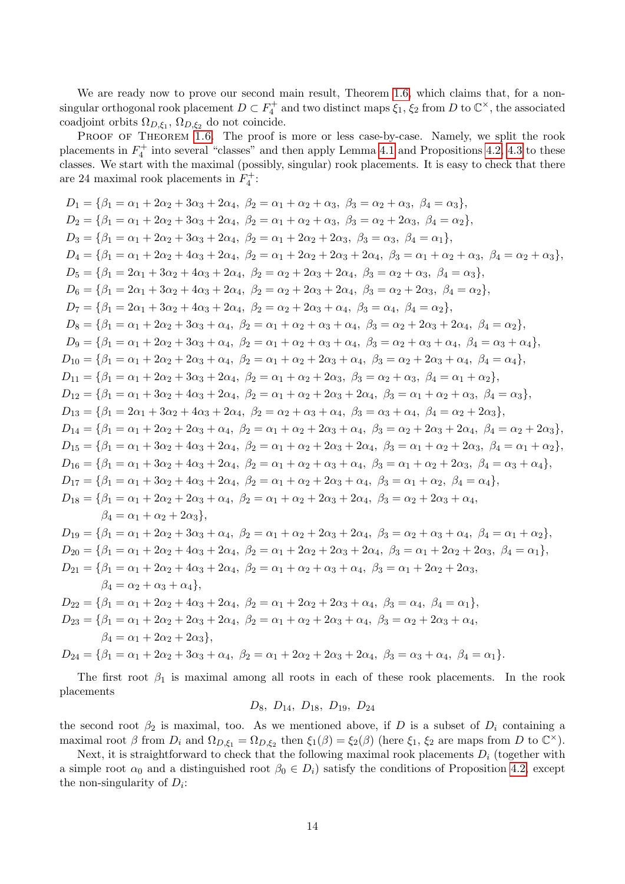We are ready now to prove our second main result, Theorem [1.6,](#page-1-1) which claims that, for a nonsingular orthogonal rook placement  $D \subset F_4^+$  and two distinct maps  $\xi_1$ ,  $\xi_2$  from D to  $\mathbb{C}^\times$ , the associated coadjoint orbits  $\Omega_{D,\xi_1}$ ,  $\Omega_{D,\xi_2}$  do not coincide.

PROOF OF THEOREM [1.6](#page-1-1). The proof is more or less case-by-case. Namely, we split the rook placements in  $F_4^+$  into several "classes" and then apply Lemma [4.1](#page-0-0) and Propositions [4.2,](#page-0-1) [4.3](#page-1-2) to these classes. We start with the maximal (possibly, singular) rook placements. It is easy to check that there are 24 maximal rook placements in  $F_4^+$ :

$$
D_1 = \{\beta_1 = \alpha_1 + 2\alpha_2 + 3\alpha_3 + 2\alpha_4, \beta_2 = \alpha_1 + \alpha_2 + \alpha_3, \beta_3 = \alpha_2 + \alpha_3, \beta_4 = \alpha_3\},
$$
  
\n
$$
D_2 = \{\beta_1 = \alpha_1 + 2\alpha_2 + 3\alpha_3 + 2\alpha_4, \beta_2 = \alpha_1 + \alpha_2 + \alpha_3, \beta_3 = \alpha_2 + 2\alpha_3, \beta_4 = \alpha_3\},
$$
  
\n
$$
D_3 = \{\beta_1 = \alpha_1 + 2\alpha_2 + 3\alpha_3 + 2\alpha_4, \beta_2 = \alpha_1 + 2\alpha_2 + 2\alpha_3, \beta_3 = \alpha_3, \beta_4 = \alpha_1\},
$$
  
\n
$$
D_4 = \{\beta_1 = 2\alpha_1 + 3\alpha_2 + 4\alpha_3 + 2\alpha_4, \beta_2 = \alpha_1 + 2\alpha_2 + 2\alpha_3 + 2\alpha_4, \beta_3 = \alpha_1 + \alpha_2 + \alpha_3, \beta_4 = \alpha_2 + \alpha_3\},
$$
  
\n
$$
D_5 = \{\beta_1 = 2\alpha_1 + 3\alpha_2 + 4\alpha_3 + 2\alpha_4, \beta_2 = \alpha_2 + 2\alpha_3 + 2\alpha_4, \beta_3 = \alpha_2 + 2\alpha_3, \beta_4 = \alpha_2\},
$$
  
\n
$$
D_6 = \{\beta_1 = 2\alpha_1 + 3\alpha_2 + 4\alpha_3 + 2\alpha_4, \beta_2 = \alpha_2 + 2\alpha_3 + 2\alpha_4, \beta_3 = \alpha_2 + 2\alpha_3, \beta_4 = \alpha_2\},
$$
  
\n
$$
D_7 = \{\beta_1 = 2\alpha_1 + 3\alpha_2 + 4\alpha_3 + 2\alpha_4, \beta_2 = \alpha_2 + 2\alpha_3 + \alpha_4, \beta_3 = \alpha_2 + 2\alpha_3 + 2\alpha_4, \beta_4 = \alpha_2\},
$$
  
\n
$$
D_9 = \{\beta_1 = \alpha_1 + 2\alpha_2 + 3\alpha_3 + \alpha_4, \beta_2 = \alpha_1 + \alpha_2
$$

The first root  $\beta_1$  is maximal among all roots in each of these rook placements. In the rook placements

$$
D_8, D_{14}, D_{18}, D_{19}, D_{24}
$$

the second root  $\beta_2$  is maximal, too. As we mentioned above, if D is a subset of  $D_i$  containing a maximal root  $\beta$  from  $D_i$  and  $\Omega_{D,\xi_1} = \Omega_{D,\xi_2}$  then  $\xi_1(\beta) = \xi_2(\beta)$  (here  $\xi_1$ ,  $\xi_2$  are maps from D to  $\mathbb{C}^{\times}$ ).

Next, it is straightforward to check that the following maximal rook placements  $D_i$  (together with a simple root  $\alpha_0$  and a distinguished root  $\beta_0 \in D_i$ ) satisfy the conditions of Proposition [4.2,](#page-0-1) except the non-singularity of  $D_i$ :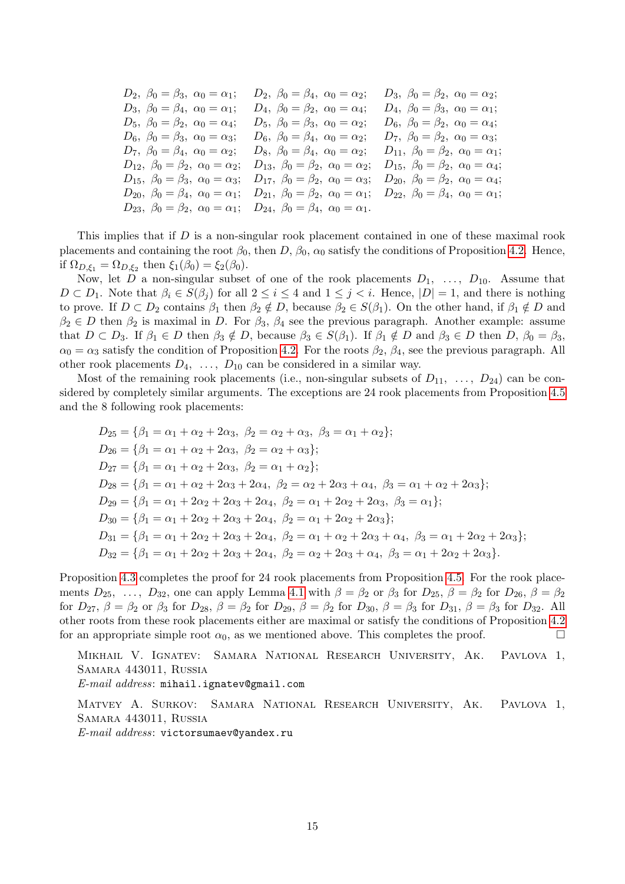| $D_2, \ \beta_0 = \beta_3, \ \alpha_0 = \alpha_1;$    | $D_2, \ \beta_0 = \beta_4, \ \alpha_0 = \alpha_2;$                                                                                                                        | $D_3, \ \beta_0 = \beta_2, \ \alpha_0 = \alpha_2;$    |
|-------------------------------------------------------|---------------------------------------------------------------------------------------------------------------------------------------------------------------------------|-------------------------------------------------------|
| $D_3, \ \beta_0 = \beta_4, \ \alpha_0 = \alpha_1;$    | $D_4, \ \beta_0 = \beta_2, \ \alpha_0 = \alpha_4;$                                                                                                                        | $D_4, \ \beta_0 = \beta_3, \ \alpha_0 = \alpha_1;$    |
| $D_5, \ \beta_0 = \beta_2, \ \alpha_0 = \alpha_4;$    | $D_5$ , $\beta_0 = \beta_3$ , $\alpha_0 = \alpha_2$ ;                                                                                                                     | $D_6, \ \beta_0 = \beta_2, \ \alpha_0 = \alpha_4;$    |
| $D_6$ , $\beta_0 = \beta_3$ , $\alpha_0 = \alpha_3$ ; | $D_6, \ \beta_0 = \beta_4, \ \alpha_0 = \alpha_2;$                                                                                                                        | $D_7, \ \beta_0 = \beta_2, \ \alpha_0 = \alpha_3;$    |
| $D_7, \ \beta_0 = \beta_4, \ \alpha_0 = \alpha_2;$    | $D_8, \ \beta_0 = \beta_4, \ \alpha_0 = \alpha_2;$                                                                                                                        | $D_{11}, \ \beta_0 = \beta_2, \ \alpha_0 = \alpha_1;$ |
| $D_{12}, \ \beta_0 = \beta_2, \ \alpha_0 = \alpha_2;$ | $D_{13}, \ \beta_0 = \beta_2, \ \alpha_0 = \alpha_2;$                                                                                                                     | $D_{15}, \ \beta_0 = \beta_2, \ \alpha_0 = \alpha_4;$ |
|                                                       | $D_{15}, \ \beta_0 = \beta_3, \ \alpha_0 = \alpha_3; \quad D_{17}, \ \beta_0 = \beta_2, \ \alpha_0 = \alpha_3; \quad D_{20}, \ \beta_0 = \beta_2, \ \alpha_0 = \alpha_4;$ |                                                       |
|                                                       | $D_{20}, \ \beta_0 = \beta_4, \ \alpha_0 = \alpha_1; \quad D_{21}, \ \beta_0 = \beta_2, \ \alpha_0 = \alpha_1; \quad D_{22}, \ \beta_0 = \beta_4, \ \alpha_0 = \alpha_1;$ |                                                       |
|                                                       | $D_{23}, \ \beta_0 = \beta_2, \ \alpha_0 = \alpha_1; \quad D_{24}, \ \beta_0 = \beta_4, \ \alpha_0 = \alpha_1.$                                                           |                                                       |
|                                                       |                                                                                                                                                                           |                                                       |

This implies that if D is a non-singular rook placement contained in one of these maximal rook placements and containing the root  $\beta_0$ , then  $D$ ,  $\beta_0$ ,  $\alpha_0$  satisfy the conditions of Proposition [4.2.](#page-0-1) Hence, if  $\Omega_{D,\xi_1} = \Omega_{D,\xi_2}$  then  $\xi_1(\beta_0) = \xi_2(\beta_0)$ .

Now, let D a non-singular subset of one of the rook placements  $D_1, \ldots, D_{10}$ . Assume that  $D \subset D_1$ . Note that  $\beta_i \in S(\beta_j)$  for all  $2 \leq i \leq 4$  and  $1 \leq j < i$ . Hence,  $|D|=1$ , and there is nothing to prove. If  $D \subset D_2$  contains  $\beta_1$  then  $\beta_2 \notin D$ , because  $\beta_2 \in S(\beta_1)$ . On the other hand, if  $\beta_1 \notin D$  and  $\beta_2 \in D$  then  $\beta_2$  is maximal in D. For  $\beta_3$ ,  $\beta_4$  see the previous paragraph. Another example: assume that  $D \subset D_3$ . If  $\beta_1 \in D$  then  $\beta_3 \notin D$ , because  $\beta_3 \in S(\beta_1)$ . If  $\beta_1 \notin D$  and  $\beta_3 \in D$  then  $D$ ,  $\beta_0 = \beta_3$ ,  $\alpha_0 = \alpha_3$  satisfy the condition of Proposition [4.2.](#page-0-1) For the roots  $\beta_2$ ,  $\beta_4$ , see the previous paragraph. All other rook placements  $D_4, \ldots, D_{10}$  can be considered in a similar way.

Most of the remaining rook placements (i.e., non-singular subsets of  $D_{11}$ , ...,  $D_{24}$ ) can be considered by completely similar arguments. The exceptions are 24 rook placements from Proposition [4.5](#page-1-3) and the 8 following rook placements:

$$
D_{25} = \{\beta_1 = \alpha_1 + \alpha_2 + 2\alpha_3, \ \beta_2 = \alpha_2 + \alpha_3, \ \beta_3 = \alpha_1 + \alpha_2\};
$$
  
\n
$$
D_{26} = \{\beta_1 = \alpha_1 + \alpha_2 + 2\alpha_3, \ \beta_2 = \alpha_2 + \alpha_3\};
$$
  
\n
$$
D_{27} = \{\beta_1 = \alpha_1 + \alpha_2 + 2\alpha_3, \ \beta_2 = \alpha_1 + \alpha_2\};
$$
  
\n
$$
D_{28} = \{\beta_1 = \alpha_1 + \alpha_2 + 2\alpha_3 + 2\alpha_4, \ \beta_2 = \alpha_2 + 2\alpha_3 + \alpha_4, \ \beta_3 = \alpha_1 + \alpha_2 + 2\alpha_3\};
$$
  
\n
$$
D_{29} = \{\beta_1 = \alpha_1 + 2\alpha_2 + 2\alpha_3 + 2\alpha_4, \ \beta_2 = \alpha_1 + 2\alpha_2 + 2\alpha_3, \ \beta_3 = \alpha_1\};
$$
  
\n
$$
D_{30} = \{\beta_1 = \alpha_1 + 2\alpha_2 + 2\alpha_3 + 2\alpha_4, \ \beta_2 = \alpha_1 + 2\alpha_2 + 2\alpha_3\};
$$
  
\n
$$
D_{31} = \{\beta_1 = \alpha_1 + 2\alpha_2 + 2\alpha_3 + 2\alpha_4, \ \beta_2 = \alpha_1 + \alpha_2 + 2\alpha_3 + \alpha_4, \ \beta_3 = \alpha_1 + 2\alpha_2 + 2\alpha_3\};
$$
  
\n
$$
D_{32} = \{\beta_1 = \alpha_1 + 2\alpha_2 + 2\alpha_3 + 2\alpha_4, \ \beta_2 = \alpha_2 + 2\alpha_3 + \alpha_4, \ \beta_3 = \alpha_1 + 2\alpha_2 + 2\alpha_3\}.
$$

Proposition [4.3](#page-1-2) completes the proof for 24 rook placements from Proposition [4.5.](#page-1-3) For the rook placements  $D_{25}$ , ...,  $D_{32}$ , one can apply Lemma [4.1](#page-0-0) with  $\beta = \beta_2$  or  $\beta_3$  for  $D_{25}$ ,  $\beta = \beta_2$  for  $D_{26}$ ,  $\beta = \beta_2$ for  $D_{27}$ ,  $\beta = \beta_2$  or  $\beta_3$  for  $D_{28}$ ,  $\beta = \beta_2$  for  $D_{29}$ ,  $\beta = \beta_2$  for  $D_{30}$ ,  $\beta = \beta_3$  for  $D_{31}$ ,  $\beta = \beta_3$  for  $D_{32}$ . All other roots from these rook placements either are maximal or satisfy the conditions of Proposition [4.2](#page-0-1) for an appropriate simple root  $\alpha_0$ , as we mentioned above. This completes the proof.

Mikhail V. Ignatev: Samara National Research University, Ak. Pavlova 1, Samara 443011, Russia

E-mail address: mihail.ignatev@gmail.com

Matvey A. Surkov: Samara National Research University, Ak. Pavlova 1, Samara 443011, Russia

E-mail address: victorsumaev@yandex.ru